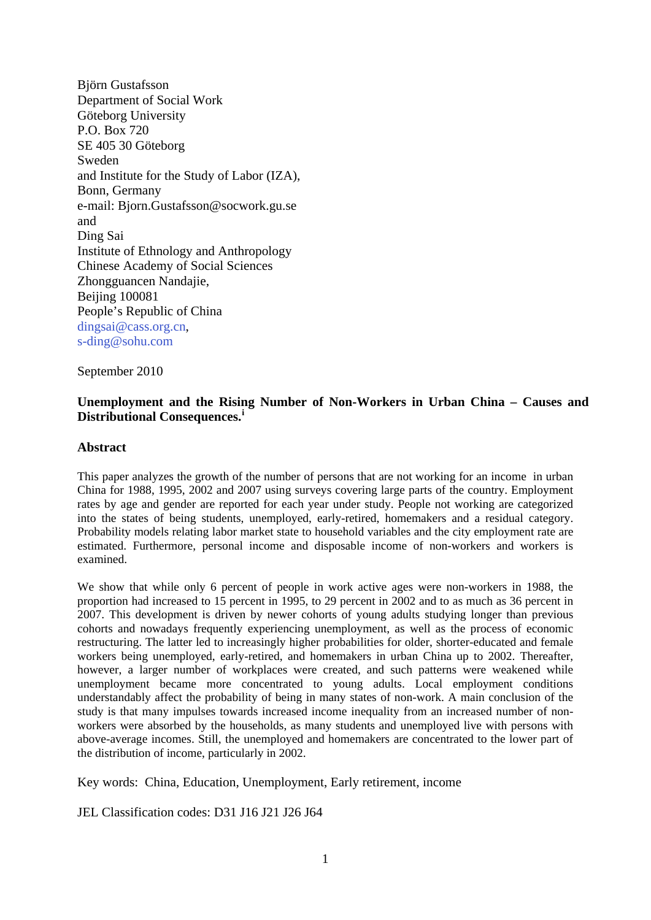Björn Gustafsson Department of Social Work Göteborg University P.O. Box 720 SE 405 30 Göteborg Sweden and Institute for the Study of Labor (IZA), Bonn, Germany e-mail: Bjorn.Gustafsson@socwork.gu.se and Ding Sai Institute of Ethnology and Anthropology Chinese Academy of Social Sciences Zhongguancen Nandajie, Beijing 100081 People's Republic of China [dingsai@cass.org.cn,](mailto:dingsai@cass.org.cn) [s-ding@sohu.com](mailto:s-ding@sohu.com)

September 2010

#### **Unemployment and the Rising Number of Non-Workers in Urban China – Causes and Distributional Consequences.[i](#page-42-0)**

#### **Abstract**

This paper analyzes the growth of the number of persons that are not working for an income in urban China for 1988, 1995, 2002 and 2007 using surveys covering large parts of the country. Employment rates by age and gender are reported for each year under study. People not working are categorized into the states of being students, unemployed, early-retired, homemakers and a residual category. Probability models relating labor market state to household variables and the city employment rate are estimated. Furthermore, personal income and disposable income of non-workers and workers is examined.

We show that while only 6 percent of people in work active ages were non-workers in 1988, the proportion had increased to 15 percent in 1995, to 29 percent in 2002 and to as much as 36 percent in 2007. This development is driven by newer cohorts of young adults studying longer than previous cohorts and nowadays frequently experiencing unemployment, as well as the process of economic restructuring. The latter led to increasingly higher probabilities for older, shorter-educated and female workers being unemployed, early-retired, and homemakers in urban China up to 2002. Thereafter, however, a larger number of workplaces were created, and such patterns were weakened while unemployment became more concentrated to young adults. Local employment conditions understandably affect the probability of being in many states of non-work. A main conclusion of the study is that many impulses towards increased income inequality from an increased number of nonworkers were absorbed by the households, as many students and unemployed live with persons with above-average incomes. Still, the unemployed and homemakers are concentrated to the lower part of the distribution of income, particularly in 2002.

Key words: China, Education, Unemployment, Early retirement, income

JEL Classification codes: D31 J16 J21 J26 J64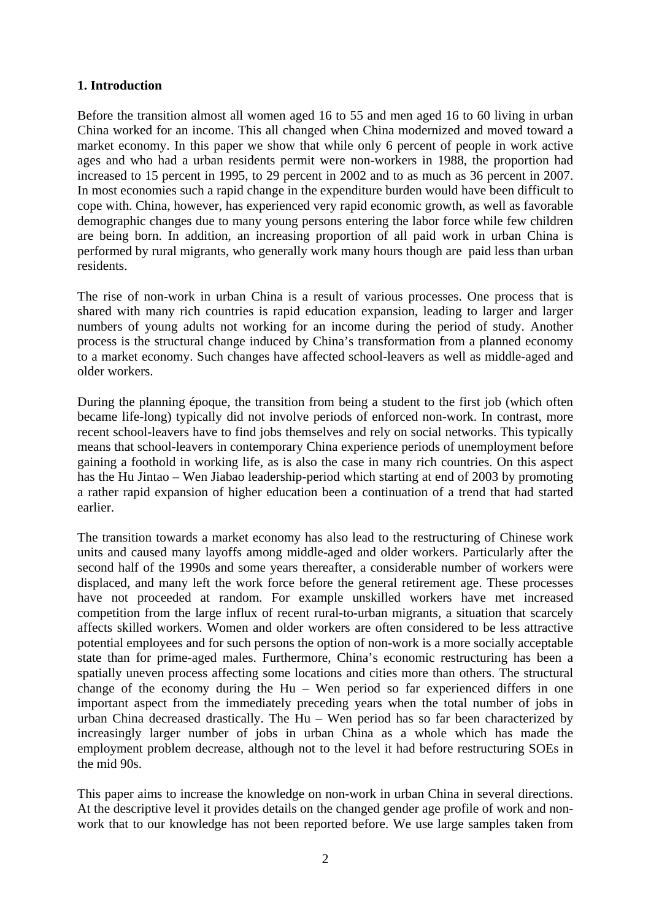### **1. Introduction**

Before the transition almost all women aged 16 to 55 and men aged 16 to 60 living in urban China worked for an income. This all changed when China modernized and moved toward a market economy. In this paper we show that while only 6 percent of people in work active ages and who had a urban residents permit were non-workers in 1988, the proportion had increased to 15 percent in 1995, to 29 percent in 2002 and to as much as 36 percent in 2007. In most economies such a rapid change in the expenditure burden would have been difficult to cope with. China, however, has experienced very rapid economic growth, as well as favorable demographic changes due to many young persons entering the labor force while few children are being born. In addition, an increasing proportion of all paid work in urban China is performed by rural migrants, who generally work many hours though are paid less than urban residents.

The rise of non-work in urban China is a result of various processes. One process that is shared with many rich countries is rapid education expansion, leading to larger and larger numbers of young adults not working for an income during the period of study. Another process is the structural change induced by China's transformation from a planned economy to a market economy. Such changes have affected school-leavers as well as middle-aged and older workers.

During the planning époque, the transition from being a student to the first job (which often became life-long) typically did not involve periods of enforced non-work. In contrast, more recent school-leavers have to find jobs themselves and rely on social networks. This typically means that school-leavers in contemporary China experience periods of unemployment before gaining a foothold in working life, as is also the case in many rich countries. On this aspect has the Hu Jintao – Wen Jiabao leadership-period which starting at end of 2003 by promoting a rather rapid expansion of higher education been a continuation of a trend that had started earlier.

The transition towards a market economy has also lead to the restructuring of Chinese work units and caused many layoffs among middle-aged and older workers. Particularly after the second half of the 1990s and some years thereafter, a considerable number of workers were displaced, and many left the work force before the general retirement age. These processes have not proceeded at random. For example unskilled workers have met increased competition from the large influx of recent rural-to-urban migrants, a situation that scarcely affects skilled workers. Women and older workers are often considered to be less attractive potential employees and for such persons the option of non-work is a more socially acceptable state than for prime-aged males. Furthermore, China's economic restructuring has been a spatially uneven process affecting some locations and cities more than others. The structural change of the economy during the Hu – Wen period so far experienced differs in one important aspect from the immediately preceding years when the total number of jobs in urban China decreased drastically. The Hu – Wen period has so far been characterized by increasingly larger number of jobs in urban China as a whole which has made the employment problem decrease, although not to the level it had before restructuring SOEs in the mid 90s.

This paper aims to increase the knowledge on non-work in urban China in several directions. At the descriptive level it provides details on the changed gender age profile of work and nonwork that to our knowledge has not been reported before. We use large samples taken from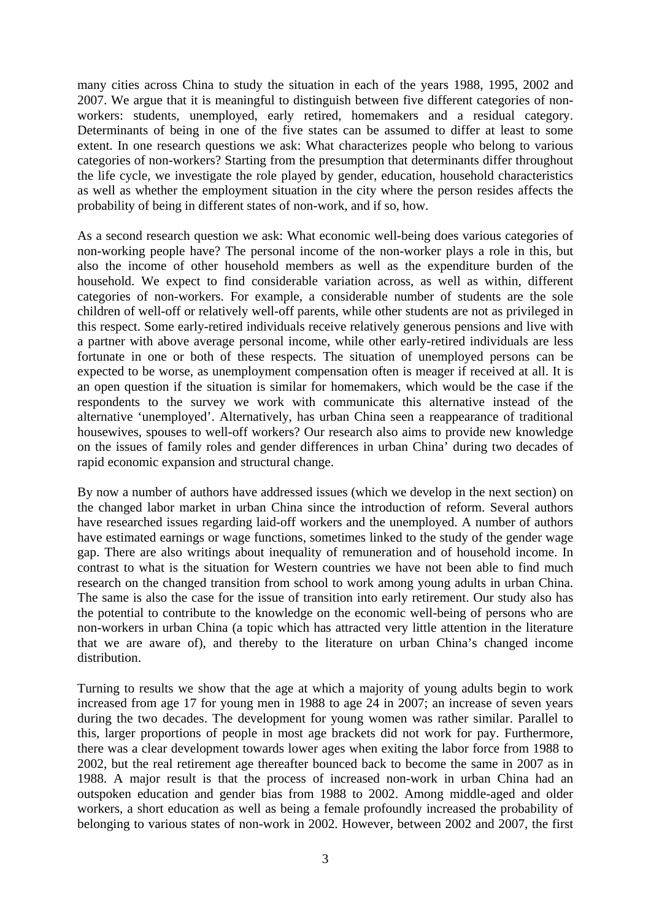many cities across China to study the situation in each of the years 1988, 1995, 2002 and 2007. We argue that it is meaningful to distinguish between five different categories of nonworkers: students, unemployed, early retired, homemakers and a residual category. Determinants of being in one of the five states can be assumed to differ at least to some extent. In one research questions we ask: What characterizes people who belong to various categories of non-workers? Starting from the presumption that determinants differ throughout the life cycle, we investigate the role played by gender, education, household characteristics as well as whether the employment situation in the city where the person resides affects the probability of being in different states of non-work, and if so, how.

As a second research question we ask: What economic well-being does various categories of non-working people have? The personal income of the non-worker plays a role in this, but also the income of other household members as well as the expenditure burden of the household. We expect to find considerable variation across, as well as within, different categories of non-workers. For example, a considerable number of students are the sole children of well-off or relatively well-off parents, while other students are not as privileged in this respect. Some early-retired individuals receive relatively generous pensions and live with a partner with above average personal income, while other early-retired individuals are less fortunate in one or both of these respects. The situation of unemployed persons can be expected to be worse, as unemployment compensation often is meager if received at all. It is an open question if the situation is similar for homemakers, which would be the case if the respondents to the survey we work with communicate this alternative instead of the alternative 'unemployed'. Alternatively, has urban China seen a reappearance of traditional housewives, spouses to well-off workers? Our research also aims to provide new knowledge on the issues of family roles and gender differences in urban China' during two decades of rapid economic expansion and structural change.

By now a number of authors have addressed issues (which we develop in the next section) on the changed labor market in urban China since the introduction of reform. Several authors have researched issues regarding laid-off workers and the unemployed. A number of authors have estimated earnings or wage functions, sometimes linked to the study of the gender wage gap. There are also writings about inequality of remuneration and of household income. In contrast to what is the situation for Western countries we have not been able to find much research on the changed transition from school to work among young adults in urban China. The same is also the case for the issue of transition into early retirement. Our study also has the potential to contribute to the knowledge on the economic well-being of persons who are non-workers in urban China (a topic which has attracted very little attention in the literature that we are aware of), and thereby to the literature on urban China's changed income distribution.

Turning to results we show that the age at which a majority of young adults begin to work increased from age 17 for young men in 1988 to age 24 in 2007; an increase of seven years during the two decades. The development for young women was rather similar. Parallel to this, larger proportions of people in most age brackets did not work for pay. Furthermore, there was a clear development towards lower ages when exiting the labor force from 1988 to 2002, but the real retirement age thereafter bounced back to become the same in 2007 as in 1988. A major result is that the process of increased non-work in urban China had an outspoken education and gender bias from 1988 to 2002. Among middle-aged and older workers, a short education as well as being a female profoundly increased the probability of belonging to various states of non-work in 2002. However, between 2002 and 2007, the first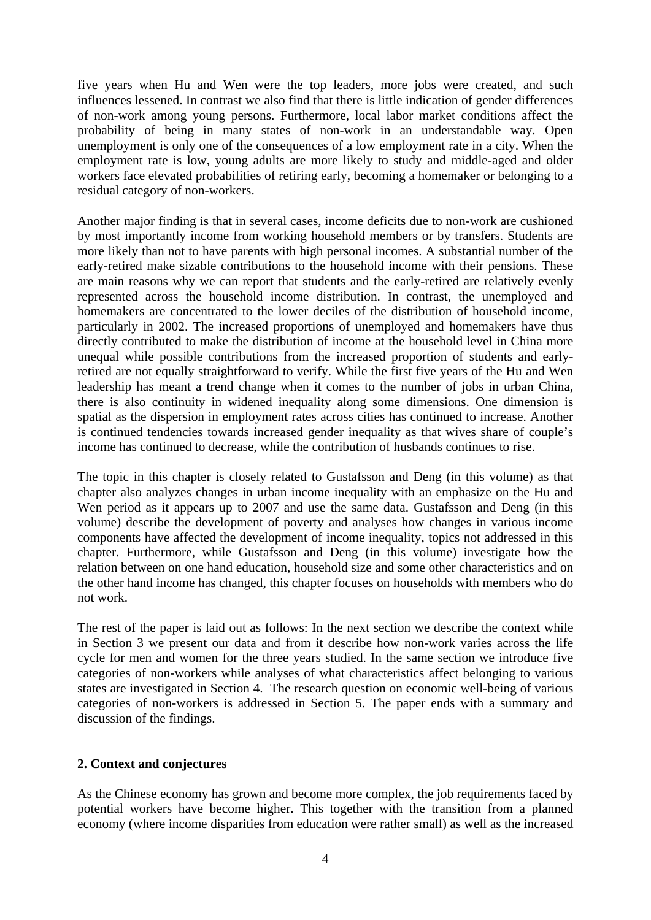five years when Hu and Wen were the top leaders, more jobs were created, and such influences lessened. In contrast we also find that there is little indication of gender differences of non-work among young persons. Furthermore, local labor market conditions affect the probability of being in many states of non-work in an understandable way. Open unemployment is only one of the consequences of a low employment rate in a city. When the employment rate is low, young adults are more likely to study and middle-aged and older workers face elevated probabilities of retiring early, becoming a homemaker or belonging to a residual category of non-workers.

Another major finding is that in several cases, income deficits due to non-work are cushioned by most importantly income from working household members or by transfers. Students are more likely than not to have parents with high personal incomes. A substantial number of the early-retired make sizable contributions to the household income with their pensions. These are main reasons why we can report that students and the early-retired are relatively evenly represented across the household income distribution. In contrast, the unemployed and homemakers are concentrated to the lower deciles of the distribution of household income, particularly in 2002. The increased proportions of unemployed and homemakers have thus directly contributed to make the distribution of income at the household level in China more unequal while possible contributions from the increased proportion of students and earlyretired are not equally straightforward to verify. While the first five years of the Hu and Wen leadership has meant a trend change when it comes to the number of jobs in urban China, there is also continuity in widened inequality along some dimensions. One dimension is spatial as the dispersion in employment rates across cities has continued to increase. Another is continued tendencies towards increased gender inequality as that wives share of couple's income has continued to decrease, while the contribution of husbands continues to rise.

The topic in this chapter is closely related to Gustafsson and Deng (in this volume) as that chapter also analyzes changes in urban income inequality with an emphasize on the Hu and Wen period as it appears up to 2007 and use the same data. Gustafsson and Deng (in this volume) describe the development of poverty and analyses how changes in various income components have affected the development of income inequality, topics not addressed in this chapter. Furthermore, while Gustafsson and Deng (in this volume) investigate how the relation between on one hand education, household size and some other characteristics and on the other hand income has changed, this chapter focuses on households with members who do not work.

The rest of the paper is laid out as follows: In the next section we describe the context while in Section 3 we present our data and from it describe how non-work varies across the life cycle for men and women for the three years studied. In the same section we introduce five categories of non-workers while analyses of what characteristics affect belonging to various states are investigated in Section 4. The research question on economic well-being of various categories of non-workers is addressed in Section 5. The paper ends with a summary and discussion of the findings.

#### **2. Context and conjectures**

As the Chinese economy has grown and become more complex, the job requirements faced by potential workers have become higher. This together with the transition from a planned economy (where income disparities from education were rather small) as well as the increased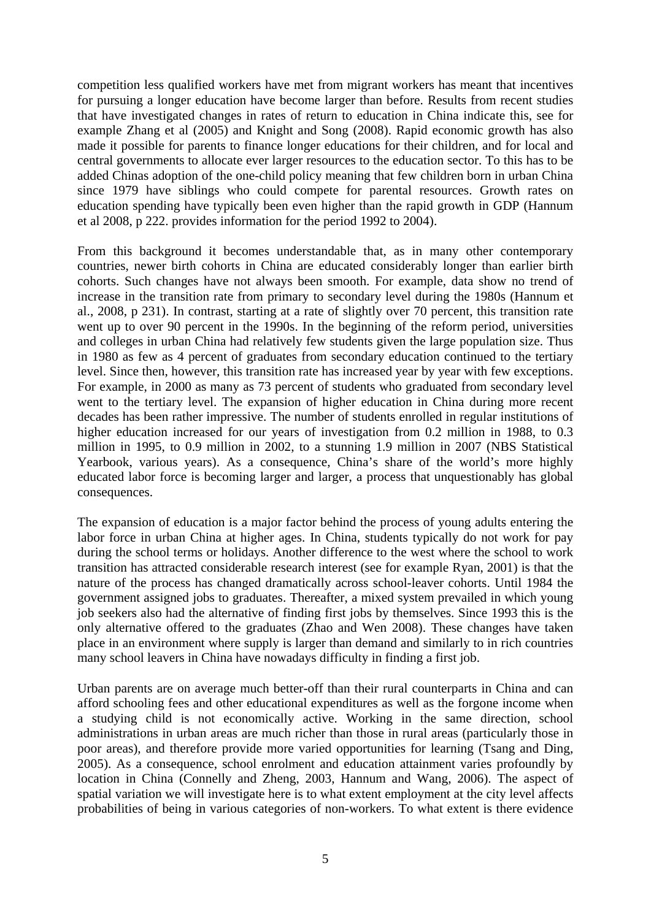competition less qualified workers have met from migrant workers has meant that incentives for pursuing a longer education have become larger than before. Results from recent studies that have investigated changes in rates of return to education in China indicate this, see for example Zhang et al (2005) and Knight and Song (2008). Rapid economic growth has also made it possible for parents to finance longer educations for their children, and for local and central governments to allocate ever larger resources to the education sector. To this has to be added Chinas adoption of the one-child policy meaning that few children born in urban China since 1979 have siblings who could compete for parental resources. Growth rates on education spending have typically been even higher than the rapid growth in GDP (Hannum et al 2008, p 222. provides information for the period 1992 to 2004).

From this background it becomes understandable that, as in many other contemporary countries, newer birth cohorts in China are educated considerably longer than earlier birth cohorts. Such changes have not always been smooth. For example, data show no trend of increase in the transition rate from primary to secondary level during the 1980s (Hannum et al., 2008, p 231). In contrast, starting at a rate of slightly over 70 percent, this transition rate went up to over 90 percent in the 1990s. In the beginning of the reform period, universities and colleges in urban China had relatively few students given the large population size. Thus in 1980 as few as 4 percent of graduates from secondary education continued to the tertiary level. Since then, however, this transition rate has increased year by year with few exceptions. For example, in 2000 as many as 73 percent of students who graduated from secondary level went to the tertiary level. The expansion of higher education in China during more recent decades has been rather impressive. The number of students enrolled in regular institutions of higher education increased for our years of investigation from 0.2 million in 1988, to 0.3 million in 1995, to 0.9 million in 2002, to a stunning 1.9 million in 2007 (NBS Statistical Yearbook, various years). As a consequence, China's share of the world's more highly educated labor force is becoming larger and larger, a process that unquestionably has global consequences.

The expansion of education is a major factor behind the process of young adults entering the labor force in urban China at higher ages. In China, students typically do not work for pay during the school terms or holidays. Another difference to the west where the school to work transition has attracted considerable research interest (see for example Ryan, 2001) is that the nature of the process has changed dramatically across school-leaver cohorts. Until 1984 the government assigned jobs to graduates. Thereafter, a mixed system prevailed in which young job seekers also had the alternative of finding first jobs by themselves. Since 1993 this is the only alternative offered to the graduates (Zhao and Wen 2008). These changes have taken place in an environment where supply is larger than demand and similarly to in rich countries many school leavers in China have nowadays difficulty in finding a first job.

Urban parents are on average much better-off than their rural counterparts in China and can afford schooling fees and other educational expenditures as well as the forgone income when a studying child is not economically active. Working in the same direction, school administrations in urban areas are much richer than those in rural areas (particularly those in poor areas), and therefore provide more varied opportunities for learning (Tsang and Ding, 2005). As a consequence, school enrolment and education attainment varies profoundly by location in China (Connelly and Zheng, 2003, Hannum and Wang, 2006). The aspect of spatial variation we will investigate here is to what extent employment at the city level affects probabilities of being in various categories of non-workers. To what extent is there evidence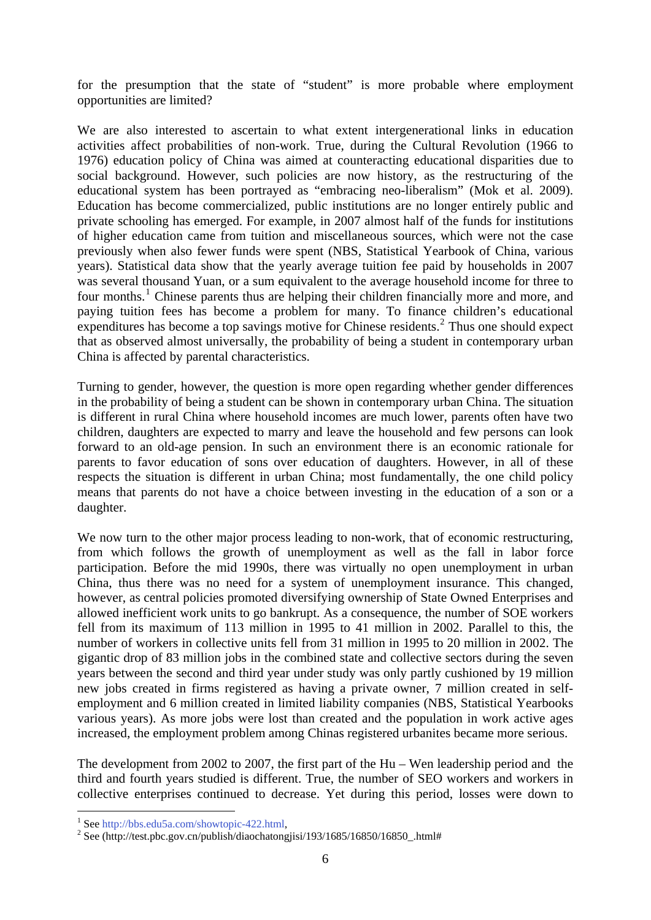for the presumption that the state of "student" is more probable where employment opportunities are limited?

We are also interested to ascertain to what extent intergenerational links in education activities affect probabilities of non-work. True, during the Cultural Revolution (1966 to 1976) education policy of China was aimed at counteracting educational disparities due to social background. However, such policies are now history, as the restructuring of the educational system has been portrayed as "embracing neo-liberalism" (Mok et al. 2009). Education has become commercialized, public institutions are no longer entirely public and private schooling has emerged. For example, in 2007 almost half of the funds for institutions of higher education came from tuition and miscellaneous sources, which were not the case previously when also fewer funds were spent (NBS, Statistical Yearbook of China, various years). Statistical data show that the yearly average tuition fee paid by households in 2007 was several thousand Yuan, or a sum equivalent to the average household income for three to four months.<sup>[1](#page-5-0)</sup> Chinese parents thus are helping their children financially more and more, and paying tuition fees has become a problem for many. To finance children's educational expenditures has become a top savings motive for Chinese residents.<sup>[2](#page-5-1)</sup> Thus one should expect that as observed almost universally, the probability of being a student in contemporary urban China is affected by parental characteristics.

Turning to gender, however, the question is more open regarding whether gender differences in the probability of being a student can be shown in contemporary urban China. The situation is different in rural China where household incomes are much lower, parents often have two children, daughters are expected to marry and leave the household and few persons can look forward to an old-age pension. In such an environment there is an economic rationale for parents to favor education of sons over education of daughters. However, in all of these respects the situation is different in urban China; most fundamentally, the one child policy means that parents do not have a choice between investing in the education of a son or a daughter.

We now turn to the other major process leading to non-work, that of economic restructuring, from which follows the growth of unemployment as well as the fall in labor force participation. Before the mid 1990s, there was virtually no open unemployment in urban China, thus there was no need for a system of unemployment insurance. This changed, however, as central policies promoted diversifying ownership of State Owned Enterprises and allowed inefficient work units to go bankrupt. As a consequence, the number of SOE workers fell from its maximum of 113 million in 1995 to 41 million in 2002. Parallel to this, the number of workers in collective units fell from 31 million in 1995 to 20 million in 2002. The gigantic drop of 83 million jobs in the combined state and collective sectors during the seven years between the second and third year under study was only partly cushioned by 19 million new jobs created in firms registered as having a private owner, 7 million created in selfemployment and 6 million created in limited liability companies (NBS, Statistical Yearbooks various years). As more jobs were lost than created and the population in work active ages increased, the employment problem among Chinas registered urbanites became more serious.

The development from 2002 to 2007, the first part of the Hu – Wen leadership period and the third and fourth years studied is different. True, the number of SEO workers and workers in collective enterprises continued to decrease. Yet during this period, losses were down to

<span id="page-5-0"></span><sup>&</sup>lt;sup>1</sup> See <http://bbs.edu5a.com/showtopic-422.html>,  $\frac{2}{5}$  See (http://test.php.gov.gov.gov.html)

<span id="page-5-1"></span><sup>&</sup>lt;sup>2</sup> See (http://test.pbc.gov.cn/publish/diaochatongjisi/193/1685/16850/16850\_.html#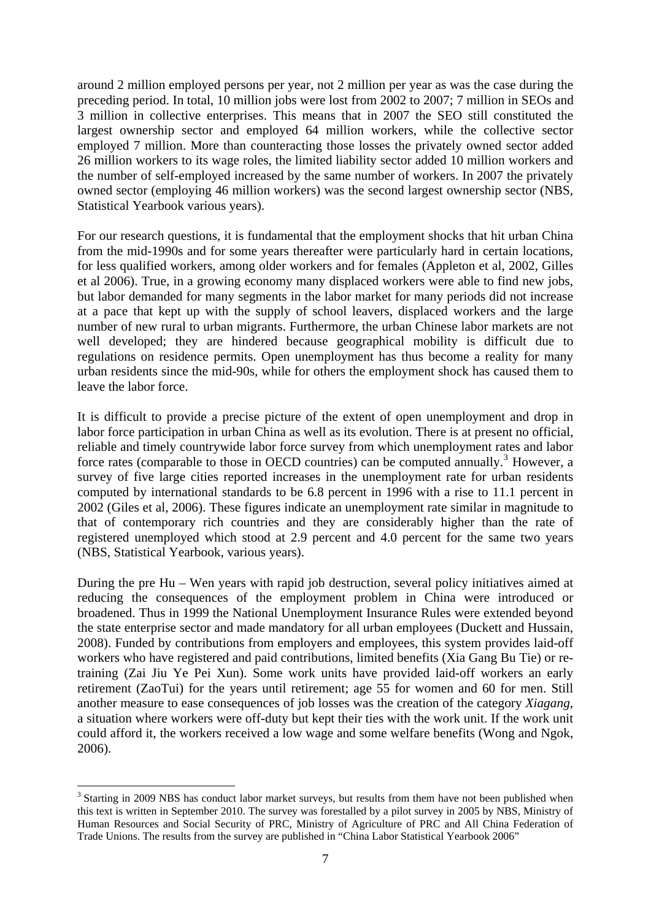around 2 million employed persons per year, not 2 million per year as was the case during the preceding period. In total, 10 million jobs were lost from 2002 to 2007; 7 million in SEOs and 3 million in collective enterprises. This means that in 2007 the SEO still constituted the largest ownership sector and employed 64 million workers, while the collective sector employed 7 million. More than counteracting those losses the privately owned sector added 26 million workers to its wage roles, the limited liability sector added 10 million workers and the number of self-employed increased by the same number of workers. In 2007 the privately owned sector (employing 46 million workers) was the second largest ownership sector (NBS, Statistical Yearbook various years).

For our research questions, it is fundamental that the employment shocks that hit urban China from the mid-1990s and for some years thereafter were particularly hard in certain locations, for less qualified workers, among older workers and for females (Appleton et al, 2002, Gilles et al 2006). True, in a growing economy many displaced workers were able to find new jobs, but labor demanded for many segments in the labor market for many periods did not increase at a pace that kept up with the supply of school leavers, displaced workers and the large number of new rural to urban migrants. Furthermore, the urban Chinese labor markets are not well developed; they are hindered because geographical mobility is difficult due to regulations on residence permits. Open unemployment has thus become a reality for many urban residents since the mid-90s, while for others the employment shock has caused them to leave the labor force.

It is difficult to provide a precise picture of the extent of open unemployment and drop in labor force participation in urban China as well as its evolution. There is at present no official, reliable and timely countrywide labor force survey from which unemployment rates and labor force rates (comparable to those in OECD countries) can be computed annually.<sup>[3](#page-6-0)</sup> However, a survey of five large cities reported increases in the unemployment rate for urban residents computed by international standards to be 6.8 percent in 1996 with a rise to 11.1 percent in 2002 (Giles et al, 2006). These figures indicate an unemployment rate similar in magnitude to that of contemporary rich countries and they are considerably higher than the rate of registered unemployed which stood at 2.9 percent and 4.0 percent for the same two years (NBS, Statistical Yearbook, various years).

During the pre Hu – Wen years with rapid job destruction, several policy initiatives aimed at reducing the consequences of the employment problem in China were introduced or broadened. Thus in 1999 the National Unemployment Insurance Rules were extended beyond the state enterprise sector and made mandatory for all urban employees (Duckett and Hussain, 2008). Funded by contributions from employers and employees, this system provides laid-off workers who have registered and paid contributions, limited benefits (Xia Gang Bu Tie) or retraining (Zai Jiu Ye Pei Xun). Some work units have provided laid-off workers an early retirement (ZaoTui) for the years until retirement; age 55 for women and 60 for men. Still another measure to ease consequences of job losses was the creation of the category *Xiagang*, a situation where workers were off-duty but kept their ties with the work unit. If the work unit could afford it, the workers received a low wage and some welfare benefits (Wong and Ngok, 2006).

<span id="page-6-0"></span><sup>&</sup>lt;sup>3</sup> Starting in 2009 NBS has conduct labor market surveys, but results from them have not been published when this text is written in September 2010. The survey was forestalled by a pilot survey in 2005 by NBS, Ministry of Human Resources and Social Security of PRC, Ministry of Agriculture of PRC and All China Federation of Trade Unions. The results from the survey are published in "China Labor Statistical Yearbook 2006"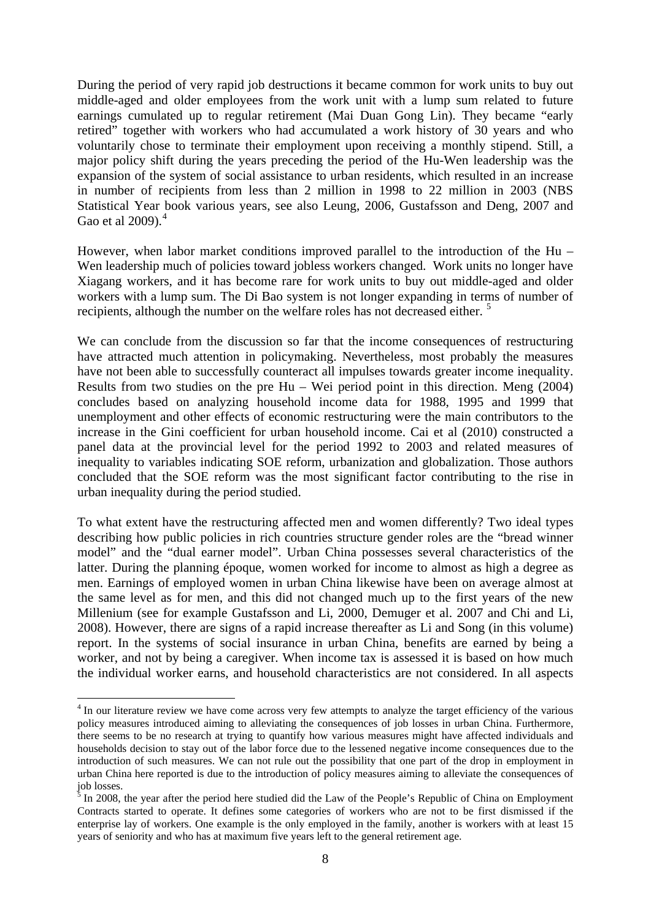During the period of very rapid job destructions it became common for work units to buy out middle-aged and older employees from the work unit with a lump sum related to future earnings cumulated up to regular retirement (Mai Duan Gong Lin). They became "early retired" together with workers who had accumulated a work history of 30 years and who voluntarily chose to terminate their employment upon receiving a monthly stipend. Still, a major policy shift during the years preceding the period of the Hu-Wen leadership was the expansion of the system of social assistance to urban residents, which resulted in an increase in number of recipients from less than 2 million in 1998 to 22 million in 2003 (NBS Statistical Year book various years, see also Leung, 2006, Gustafsson and Deng, 2007 and Gao et al  $2009$ ).<sup>[4](#page-7-0)</sup>

However, when labor market conditions improved parallel to the introduction of the Hu – Wen leadership much of policies toward jobless workers changed. Work units no longer have Xiagang workers, and it has become rare for work units to buy out middle-aged and older workers with a lump sum. The Di Bao system is not longer expanding in terms of number of recipients, although the number on the welfare roles has not decreased either.<sup>[5](#page-7-1)</sup>

We can conclude from the discussion so far that the income consequences of restructuring have attracted much attention in policymaking. Nevertheless, most probably the measures have not been able to successfully counteract all impulses towards greater income inequality. Results from two studies on the pre Hu – Wei period point in this direction. Meng (2004) concludes based on analyzing household income data for 1988, 1995 and 1999 that unemployment and other effects of economic restructuring were the main contributors to the increase in the Gini coefficient for urban household income. Cai et al (2010) constructed a panel data at the provincial level for the period 1992 to 2003 and related measures of inequality to variables indicating SOE reform, urbanization and globalization. Those authors concluded that the SOE reform was the most significant factor contributing to the rise in urban inequality during the period studied.

To what extent have the restructuring affected men and women differently? Two ideal types describing how public policies in rich countries structure gender roles are the "bread winner model" and the "dual earner model". Urban China possesses several characteristics of the latter. During the planning époque, women worked for income to almost as high a degree as men. Earnings of employed women in urban China likewise have been on average almost at the same level as for men, and this did not changed much up to the first years of the new Millenium (see for example Gustafsson and Li, 2000, Demuger et al. 2007 and Chi and Li, 2008). However, there are signs of a rapid increase thereafter as Li and Song (in this volume) report. In the systems of social insurance in urban China, benefits are earned by being a worker, and not by being a caregiver. When income tax is assessed it is based on how much the individual worker earns, and household characteristics are not considered. In all aspects

<span id="page-7-0"></span><sup>&</sup>lt;sup>4</sup> In our literature review we have come across very few attempts to analyze the target efficiency of the various policy measures introduced aiming to alleviating the consequences of job losses in urban China. Furthermore, there seems to be no research at trying to quantify how various measures might have affected individuals and households decision to stay out of the labor force due to the lessened negative income consequences due to the introduction of such measures. We can not rule out the possibility that one part of the drop in employment in urban China here reported is due to the introduction of policy measures aiming to alleviate the consequences of job losses.

<span id="page-7-1"></span><sup>&</sup>lt;sup>5</sup> In 2008, the year after the period here studied did the Law of the People's Republic of China on Employment Contracts started to operate. It defines some categories of workers who are not to be first dismissed if the enterprise lay of workers. One example is the only employed in the family, another is workers with at least 15 years of seniority and who has at maximum five years left to the general retirement age.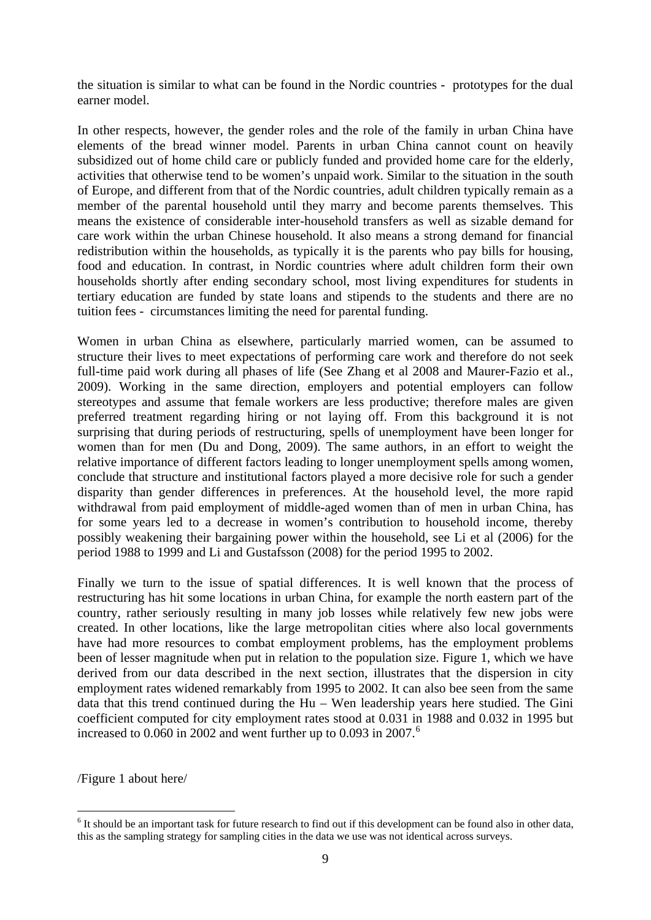the situation is similar to what can be found in the Nordic countries - prototypes for the dual earner model.

In other respects, however, the gender roles and the role of the family in urban China have elements of the bread winner model. Parents in urban China cannot count on heavily subsidized out of home child care or publicly funded and provided home care for the elderly, activities that otherwise tend to be women's unpaid work. Similar to the situation in the south of Europe, and different from that of the Nordic countries, adult children typically remain as a member of the parental household until they marry and become parents themselves. This means the existence of considerable inter-household transfers as well as sizable demand for care work within the urban Chinese household. It also means a strong demand for financial redistribution within the households, as typically it is the parents who pay bills for housing, food and education. In contrast, in Nordic countries where adult children form their own households shortly after ending secondary school, most living expenditures for students in tertiary education are funded by state loans and stipends to the students and there are no tuition fees - circumstances limiting the need for parental funding.

Women in urban China as elsewhere, particularly married women, can be assumed to structure their lives to meet expectations of performing care work and therefore do not seek full-time paid work during all phases of life (See Zhang et al 2008 and Maurer-Fazio et al., 2009). Working in the same direction, employers and potential employers can follow stereotypes and assume that female workers are less productive; therefore males are given preferred treatment regarding hiring or not laying off. From this background it is not surprising that during periods of restructuring, spells of unemployment have been longer for women than for men (Du and Dong, 2009). The same authors, in an effort to weight the relative importance of different factors leading to longer unemployment spells among women, conclude that structure and institutional factors played a more decisive role for such a gender disparity than gender differences in preferences. At the household level, the more rapid withdrawal from paid employment of middle-aged women than of men in urban China, has for some years led to a decrease in women's contribution to household income, thereby possibly weakening their bargaining power within the household, see Li et al (2006) for the period 1988 to 1999 and Li and Gustafsson (2008) for the period 1995 to 2002.

Finally we turn to the issue of spatial differences. It is well known that the process of restructuring has hit some locations in urban China, for example the north eastern part of the country, rather seriously resulting in many job losses while relatively few new jobs were created. In other locations, like the large metropolitan cities where also local governments have had more resources to combat employment problems, has the employment problems been of lesser magnitude when put in relation to the population size. Figure 1, which we have derived from our data described in the next section, illustrates that the dispersion in city employment rates widened remarkably from 1995 to 2002. It can also bee seen from the same data that this trend continued during the Hu – Wen leadership years here studied. The Gini coefficient computed for city employment rates stood at 0.031 in 1988 and 0.032 in 1995 but increased to  $0.060$  $0.060$  $0.060$  in 2002 and went further up to  $0.093$  in 2007.<sup>6</sup>

/Figure 1 about here/

<span id="page-8-0"></span> $<sup>6</sup>$  It should be an important task for future research to find out if this development can be found also in other data,</sup> this as the sampling strategy for sampling cities in the data we use was not identical across surveys.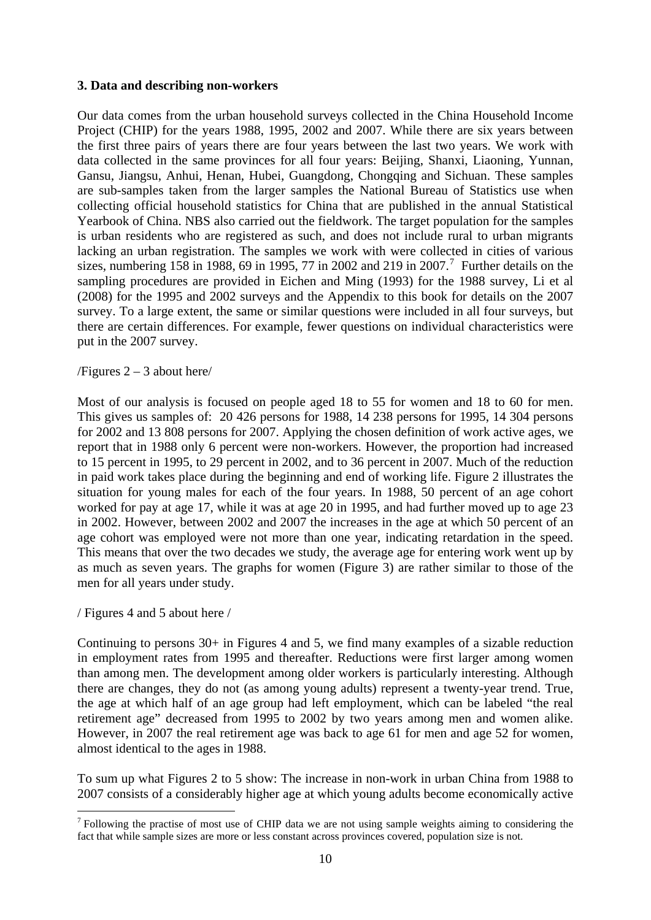#### **3. Data and describing non-workers**

Our data comes from the urban household surveys collected in the China Household Income Project (CHIP) for the years 1988, 1995, 2002 and 2007. While there are six years between the first three pairs of years there are four years between the last two years. We work with data collected in the same provinces for all four years: Beijing, Shanxi, Liaoning, Yunnan, Gansu, Jiangsu, Anhui, Henan, Hubei, Guangdong, Chongqing and Sichuan. These samples are sub-samples taken from the larger samples the National Bureau of Statistics use when collecting official household statistics for China that are published in the annual Statistical Yearbook of China. NBS also carried out the fieldwork. The target population for the samples is urban residents who are registered as such, and does not include rural to urban migrants lacking an urban registration. The samples we work with were collected in cities of various sizes, numbering 158 in 1988, 69 in 1995, [7](#page-9-0)7 in 2002 and 219 in 2007.<sup>7</sup> Further details on the sampling procedures are provided in Eichen and Ming (1993) for the 1988 survey, Li et al (2008) for the 1995 and 2002 surveys and the Appendix to this book for details on the 2007 survey. To a large extent, the same or similar questions were included in all four surveys, but there are certain differences. For example, fewer questions on individual characteristics were put in the 2007 survey.

#### /Figures  $2 - 3$  about here/

Most of our analysis is focused on people aged 18 to 55 for women and 18 to 60 for men. This gives us samples of: 20 426 persons for 1988, 14 238 persons for 1995, 14 304 persons for 2002 and 13 808 persons for 2007. Applying the chosen definition of work active ages, we report that in 1988 only 6 percent were non-workers. However, the proportion had increased to 15 percent in 1995, to 29 percent in 2002, and to 36 percent in 2007. Much of the reduction in paid work takes place during the beginning and end of working life. Figure 2 illustrates the situation for young males for each of the four years. In 1988, 50 percent of an age cohort worked for pay at age 17, while it was at age 20 in 1995, and had further moved up to age 23 in 2002. However, between 2002 and 2007 the increases in the age at which 50 percent of an age cohort was employed were not more than one year, indicating retardation in the speed. This means that over the two decades we study, the average age for entering work went up by as much as seven years. The graphs for women (Figure 3) are rather similar to those of the men for all years under study.

#### / Figures 4 and 5 about here /

1

Continuing to persons  $30+$  in Figures 4 and 5, we find many examples of a sizable reduction in employment rates from 1995 and thereafter. Reductions were first larger among women than among men. The development among older workers is particularly interesting. Although there are changes, they do not (as among young adults) represent a twenty-year trend. True, the age at which half of an age group had left employment, which can be labeled "the real retirement age" decreased from 1995 to 2002 by two years among men and women alike. However, in 2007 the real retirement age was back to age 61 for men and age 52 for women, almost identical to the ages in 1988.

To sum up what Figures 2 to 5 show: The increase in non-work in urban China from 1988 to 2007 consists of a considerably higher age at which young adults become economically active

<span id="page-9-0"></span> $<sup>7</sup>$  Following the practise of most use of CHIP data we are not using sample weights aiming to considering the</sup> fact that while sample sizes are more or less constant across provinces covered, population size is not.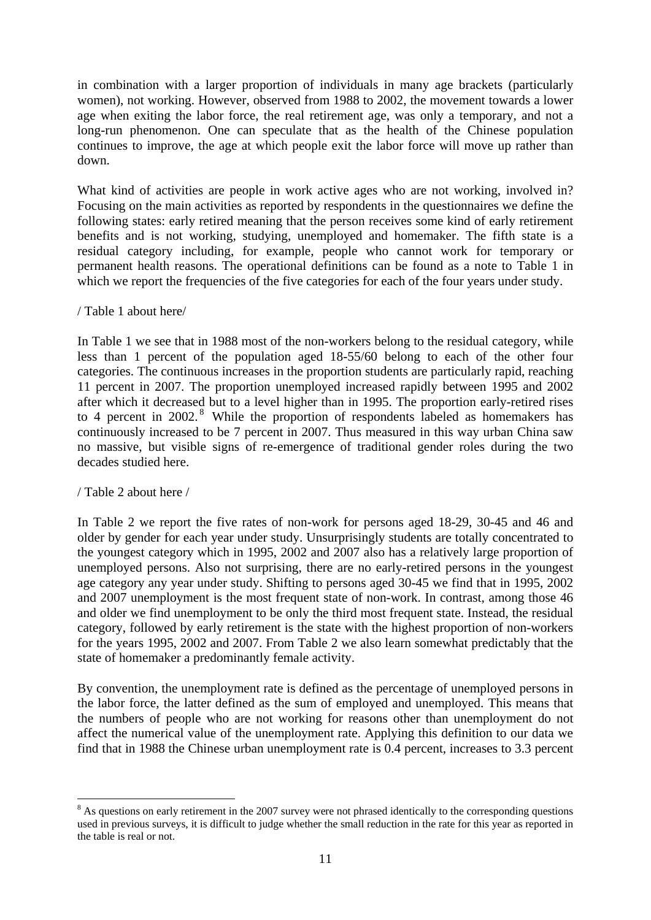in combination with a larger proportion of individuals in many age brackets (particularly women), not working. However, observed from 1988 to 2002, the movement towards a lower age when exiting the labor force, the real retirement age, was only a temporary, and not a long-run phenomenon. One can speculate that as the health of the Chinese population continues to improve, the age at which people exit the labor force will move up rather than down.

What kind of activities are people in work active ages who are not working, involved in? Focusing on the main activities as reported by respondents in the questionnaires we define the following states: early retired meaning that the person receives some kind of early retirement benefits and is not working, studying, unemployed and homemaker. The fifth state is a residual category including, for example, people who cannot work for temporary or permanent health reasons. The operational definitions can be found as a note to Table 1 in which we report the frequencies of the five categories for each of the four years under study.

#### / Table 1 about here/

In Table 1 we see that in 1988 most of the non-workers belong to the residual category, while less than 1 percent of the population aged 18-55/60 belong to each of the other four categories. The continuous increases in the proportion students are particularly rapid, reaching 11 percent in 2007. The proportion unemployed increased rapidly between 1995 and 2002 after which it decreased but to a level higher than in 1995. The proportion early-retired rises to 4 percent in 2002.<sup>[8](#page-10-0)</sup> While the proportion of respondents labeled as homemakers has continuously increased to be 7 percent in 2007. Thus measured in this way urban China saw no massive, but visible signs of re-emergence of traditional gender roles during the two decades studied here.

#### / Table 2 about here /

1

In Table 2 we report the five rates of non-work for persons aged 18-29, 30-45 and 46 and older by gender for each year under study. Unsurprisingly students are totally concentrated to the youngest category which in 1995, 2002 and 2007 also has a relatively large proportion of unemployed persons. Also not surprising, there are no early-retired persons in the youngest age category any year under study. Shifting to persons aged 30-45 we find that in 1995, 2002 and 2007 unemployment is the most frequent state of non-work. In contrast, among those 46 and older we find unemployment to be only the third most frequent state. Instead, the residual category, followed by early retirement is the state with the highest proportion of non-workers for the years 1995, 2002 and 2007. From Table 2 we also learn somewhat predictably that the state of homemaker a predominantly female activity.

By convention, the unemployment rate is defined as the percentage of unemployed persons in the labor force, the latter defined as the sum of employed and unemployed. This means that the numbers of people who are not working for reasons other than unemployment do not affect the numerical value of the unemployment rate. Applying this definition to our data we find that in 1988 the Chinese urban unemployment rate is 0.4 percent, increases to 3.3 percent

<span id="page-10-0"></span><sup>&</sup>lt;sup>8</sup> As questions on early retirement in the 2007 survey were not phrased identically to the corresponding questions used in previous surveys, it is difficult to judge whether the small reduction in the rate for this year as reported in the table is real or not.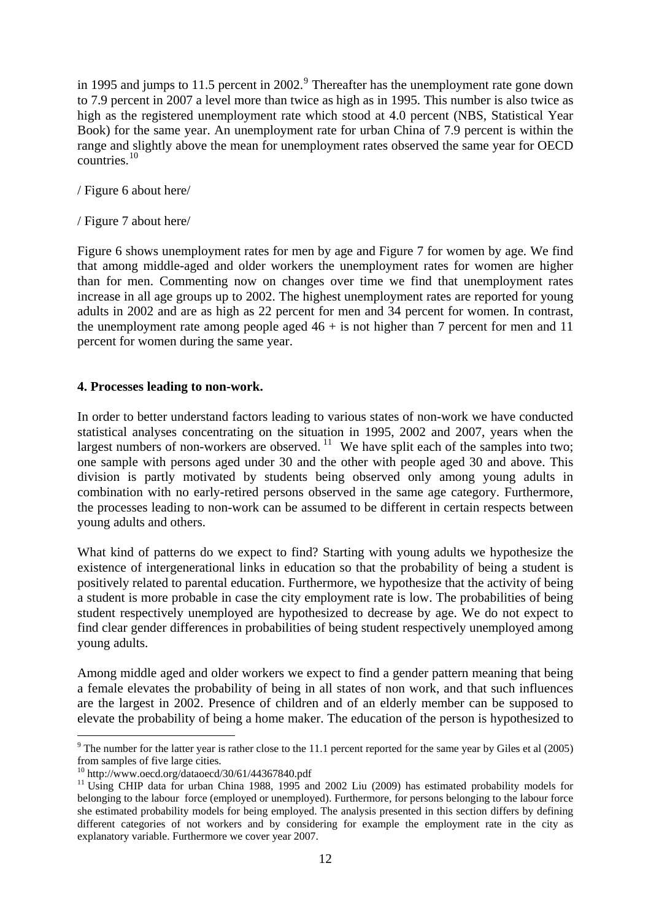in 1[9](#page-11-0)95 and jumps to 11.5 percent in 2002.<sup>9</sup> Thereafter has the unemployment rate gone down to 7.9 percent in 2007 a level more than twice as high as in 1995. This number is also twice as high as the registered unemployment rate which stood at 4.0 percent (NBS, Statistical Year Book) for the same year. An unemployment rate for urban China of 7.9 percent is within the range and slightly above the mean for unemployment rates observed the same year for OECD  $countries$ <sup>[10](#page-11-1)</sup>

/ Figure 6 about here/

### / Figure 7 about here/

Figure 6 shows unemployment rates for men by age and Figure 7 for women by age. We find that among middle-aged and older workers the unemployment rates for women are higher than for men. Commenting now on changes over time we find that unemployment rates increase in all age groups up to 2002. The highest unemployment rates are reported for young adults in 2002 and are as high as 22 percent for men and 34 percent for women. In contrast, the unemployment rate among people aged  $46 +$  is not higher than 7 percent for men and 11 percent for women during the same year.

### **4. Processes leading to non-work.**

In order to better understand factors leading to various states of non-work we have conducted statistical analyses concentrating on the situation in 1995, 2002 and 2007, years when the largest numbers of non-workers are observed.  $\frac{11}{11}$  $\frac{11}{11}$  $\frac{11}{11}$  We have split each of the samples into two; one sample with persons aged under 30 and the other with people aged 30 and above. This division is partly motivated by students being observed only among young adults in combination with no early-retired persons observed in the same age category. Furthermore, the processes leading to non-work can be assumed to be different in certain respects between young adults and others.

What kind of patterns do we expect to find? Starting with young adults we hypothesize the existence of intergenerational links in education so that the probability of being a student is positively related to parental education. Furthermore, we hypothesize that the activity of being a student is more probable in case the city employment rate is low. The probabilities of being student respectively unemployed are hypothesized to decrease by age. We do not expect to find clear gender differences in probabilities of being student respectively unemployed among young adults.

Among middle aged and older workers we expect to find a gender pattern meaning that being a female elevates the probability of being in all states of non work, and that such influences are the largest in 2002. Presence of children and of an elderly member can be supposed to elevate the probability of being a home maker. The education of the person is hypothesized to

<span id="page-11-0"></span><sup>&</sup>lt;sup>9</sup> The number for the latter year is rather close to the 11.1 percent reported for the same year by Giles et al  $(2005)$ from samples of five large cities.

<span id="page-11-1"></span> $10$  http://www.oecd.org/dataoecd/30/61/44367840.pdf

<span id="page-11-2"></span><sup>&</sup>lt;sup>11</sup> Using CHIP data for urban China 1988, 1995 and 2002 Liu (2009) has estimated probability models for belonging to the labour force (employed or unemployed). Furthermore, for persons belonging to the labour force she estimated probability models for being employed. The analysis presented in this section differs by defining different categories of not workers and by considering for example the employment rate in the city as explanatory variable. Furthermore we cover year 2007.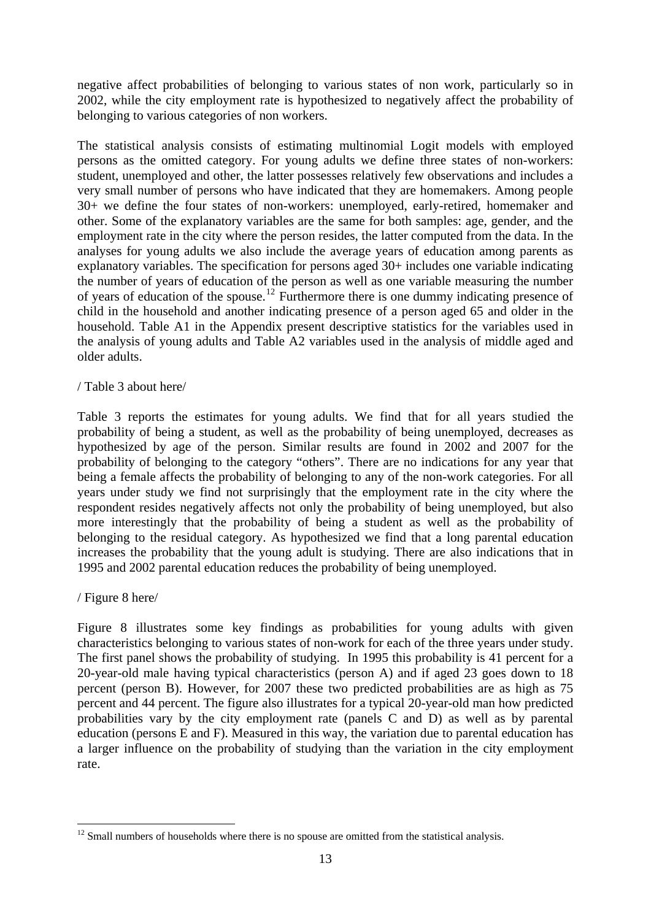negative affect probabilities of belonging to various states of non work, particularly so in 2002, while the city employment rate is hypothesized to negatively affect the probability of belonging to various categories of non workers.

The statistical analysis consists of estimating multinomial Logit models with employed persons as the omitted category. For young adults we define three states of non-workers: student, unemployed and other, the latter possesses relatively few observations and includes a very small number of persons who have indicated that they are homemakers. Among people 30+ we define the four states of non-workers: unemployed, early-retired, homemaker and other. Some of the explanatory variables are the same for both samples: age, gender, and the employment rate in the city where the person resides, the latter computed from the data. In the analyses for young adults we also include the average years of education among parents as explanatory variables. The specification for persons aged 30+ includes one variable indicating the number of years of education of the person as well as one variable measuring the number of years of education of the spouse.<sup>[12](#page-12-0)</sup> Furthermore there is one dummy indicating presence of child in the household and another indicating presence of a person aged 65 and older in the household. Table A1 in the Appendix present descriptive statistics for the variables used in the analysis of young adults and Table A2 variables used in the analysis of middle aged and older adults.

/ Table 3 about here/

Table 3 reports the estimates for young adults. We find that for all years studied the probability of being a student, as well as the probability of being unemployed, decreases as hypothesized by age of the person. Similar results are found in 2002 and 2007 for the probability of belonging to the category "others". There are no indications for any year that being a female affects the probability of belonging to any of the non-work categories. For all years under study we find not surprisingly that the employment rate in the city where the respondent resides negatively affects not only the probability of being unemployed, but also more interestingly that the probability of being a student as well as the probability of belonging to the residual category. As hypothesized we find that a long parental education increases the probability that the young adult is studying. There are also indications that in 1995 and 2002 parental education reduces the probability of being unemployed.

/ Figure 8 here/

1

Figure 8 illustrates some key findings as probabilities for young adults with given characteristics belonging to various states of non-work for each of the three years under study. The first panel shows the probability of studying. In 1995 this probability is 41 percent for a 20-year-old male having typical characteristics (person A) and if aged 23 goes down to 18 percent (person B). However, for 2007 these two predicted probabilities are as high as 75 percent and 44 percent. The figure also illustrates for a typical 20-year-old man how predicted probabilities vary by the city employment rate (panels C and D) as well as by parental education (persons E and F). Measured in this way, the variation due to parental education has a larger influence on the probability of studying than the variation in the city employment rate.

<span id="page-12-0"></span> $12$  Small numbers of households where there is no spouse are omitted from the statistical analysis.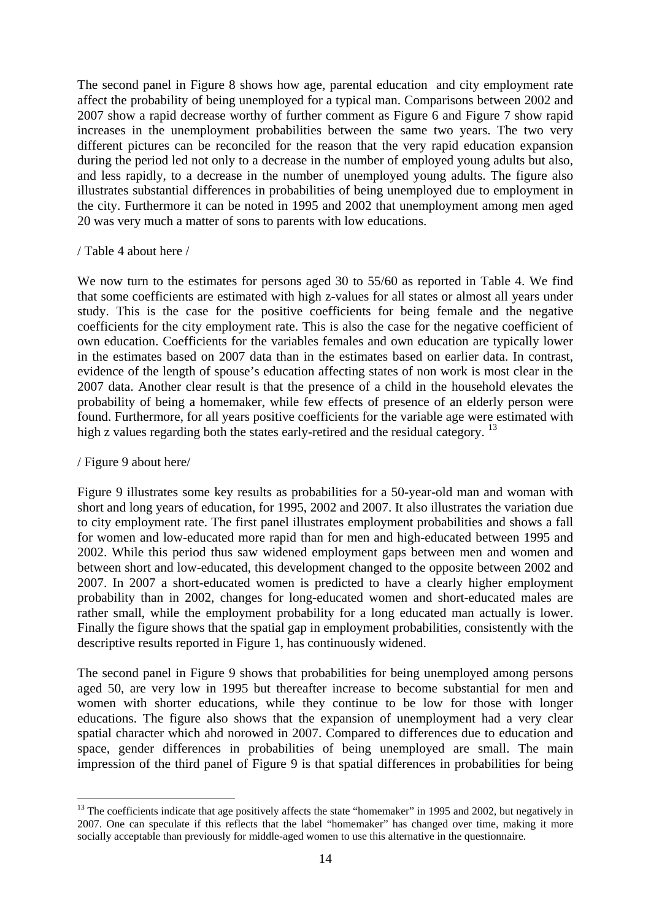The second panel in Figure 8 shows how age, parental education and city employment rate affect the probability of being unemployed for a typical man. Comparisons between 2002 and 2007 show a rapid decrease worthy of further comment as Figure 6 and Figure 7 show rapid increases in the unemployment probabilities between the same two years. The two very different pictures can be reconciled for the reason that the very rapid education expansion during the period led not only to a decrease in the number of employed young adults but also, and less rapidly, to a decrease in the number of unemployed young adults. The figure also illustrates substantial differences in probabilities of being unemployed due to employment in the city. Furthermore it can be noted in 1995 and 2002 that unemployment among men aged 20 was very much a matter of sons to parents with low educations.

#### / Table 4 about here /

We now turn to the estimates for persons aged 30 to 55/60 as reported in Table 4. We find that some coefficients are estimated with high z-values for all states or almost all years under study. This is the case for the positive coefficients for being female and the negative coefficients for the city employment rate. This is also the case for the negative coefficient of own education. Coefficients for the variables females and own education are typically lower in the estimates based on 2007 data than in the estimates based on earlier data. In contrast, evidence of the length of spouse's education affecting states of non work is most clear in the 2007 data. Another clear result is that the presence of a child in the household elevates the probability of being a homemaker, while few effects of presence of an elderly person were found. Furthermore, for all years positive coefficients for the variable age were estimated with high z values regarding both the states early-retired and the residual category.  $^{13}$  $^{13}$  $^{13}$ 

#### / Figure 9 about here/

1

Figure 9 illustrates some key results as probabilities for a 50-year-old man and woman with short and long years of education, for 1995, 2002 and 2007. It also illustrates the variation due to city employment rate. The first panel illustrates employment probabilities and shows a fall for women and low-educated more rapid than for men and high-educated between 1995 and 2002. While this period thus saw widened employment gaps between men and women and between short and low-educated, this development changed to the opposite between 2002 and 2007. In 2007 a short-educated women is predicted to have a clearly higher employment probability than in 2002, changes for long-educated women and short-educated males are rather small, while the employment probability for a long educated man actually is lower. Finally the figure shows that the spatial gap in employment probabilities, consistently with the descriptive results reported in Figure 1, has continuously widened.

The second panel in Figure 9 shows that probabilities for being unemployed among persons aged 50, are very low in 1995 but thereafter increase to become substantial for men and women with shorter educations, while they continue to be low for those with longer educations. The figure also shows that the expansion of unemployment had a very clear spatial character which ahd norowed in 2007. Compared to differences due to education and space, gender differences in probabilities of being unemployed are small. The main impression of the third panel of Figure 9 is that spatial differences in probabilities for being

<span id="page-13-0"></span><sup>&</sup>lt;sup>13</sup> The coefficients indicate that age positively affects the state "homemaker" in 1995 and 2002, but negatively in 2007. One can speculate if this reflects that the label "homemaker" has changed over time, making it more socially acceptable than previously for middle-aged women to use this alternative in the questionnaire.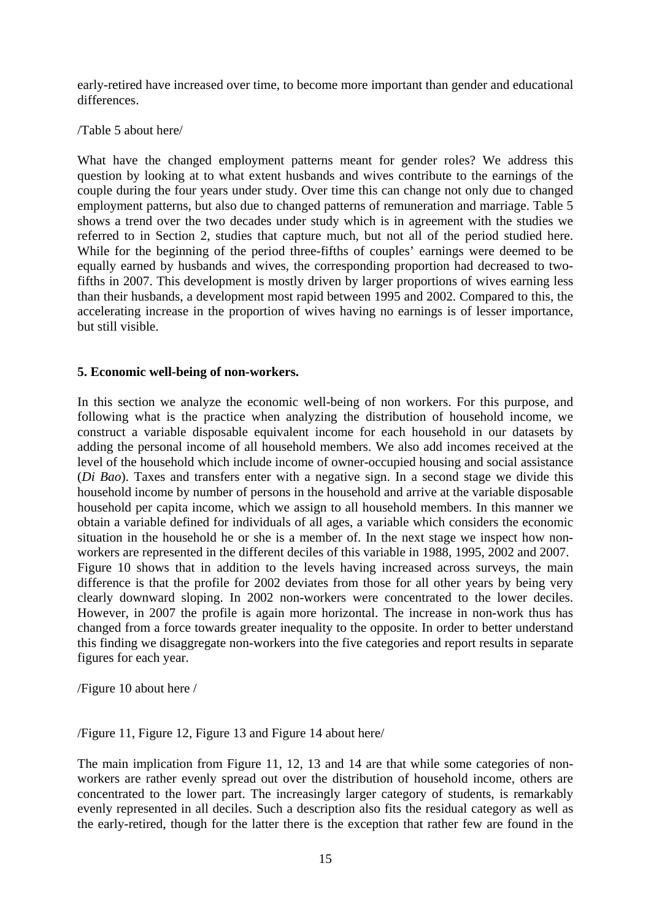early-retired have increased over time, to become more important than gender and educational differences.

/Table 5 about here/

What have the changed employment patterns meant for gender roles? We address this question by looking at to what extent husbands and wives contribute to the earnings of the couple during the four years under study. Over time this can change not only due to changed employment patterns, but also due to changed patterns of remuneration and marriage. Table 5 shows a trend over the two decades under study which is in agreement with the studies we referred to in Section 2, studies that capture much, but not all of the period studied here. While for the beginning of the period three-fifths of couples' earnings were deemed to be equally earned by husbands and wives, the corresponding proportion had decreased to twofifths in 2007. This development is mostly driven by larger proportions of wives earning less than their husbands, a development most rapid between 1995 and 2002. Compared to this, the accelerating increase in the proportion of wives having no earnings is of lesser importance, but still visible.

### **5. Economic well-being of non-workers.**

In this section we analyze the economic well-being of non workers. For this purpose, and following what is the practice when analyzing the distribution of household income, we construct a variable disposable equivalent income for each household in our datasets by adding the personal income of all household members. We also add incomes received at the level of the household which include income of owner-occupied housing and social assistance (*Di Bao*). Taxes and transfers enter with a negative sign. In a second stage we divide this household income by number of persons in the household and arrive at the variable disposable household per capita income, which we assign to all household members. In this manner we obtain a variable defined for individuals of all ages, a variable which considers the economic situation in the household he or she is a member of. In the next stage we inspect how nonworkers are represented in the different deciles of this variable in 1988, 1995, 2002 and 2007. Figure 10 shows that in addition to the levels having increased across surveys, the main difference is that the profile for 2002 deviates from those for all other years by being very clearly downward sloping. In 2002 non-workers were concentrated to the lower deciles. However, in 2007 the profile is again more horizontal. The increase in non-work thus has changed from a force towards greater inequality to the opposite. In order to better understand this finding we disaggregate non-workers into the five categories and report results in separate figures for each year.

/Figure 10 about here /

/Figure 11, Figure 12, Figure 13 and Figure 14 about here/

The main implication from Figure 11, 12, 13 and 14 are that while some categories of nonworkers are rather evenly spread out over the distribution of household income, others are concentrated to the lower part. The increasingly larger category of students, is remarkably evenly represented in all deciles. Such a description also fits the residual category as well as the early-retired, though for the latter there is the exception that rather few are found in the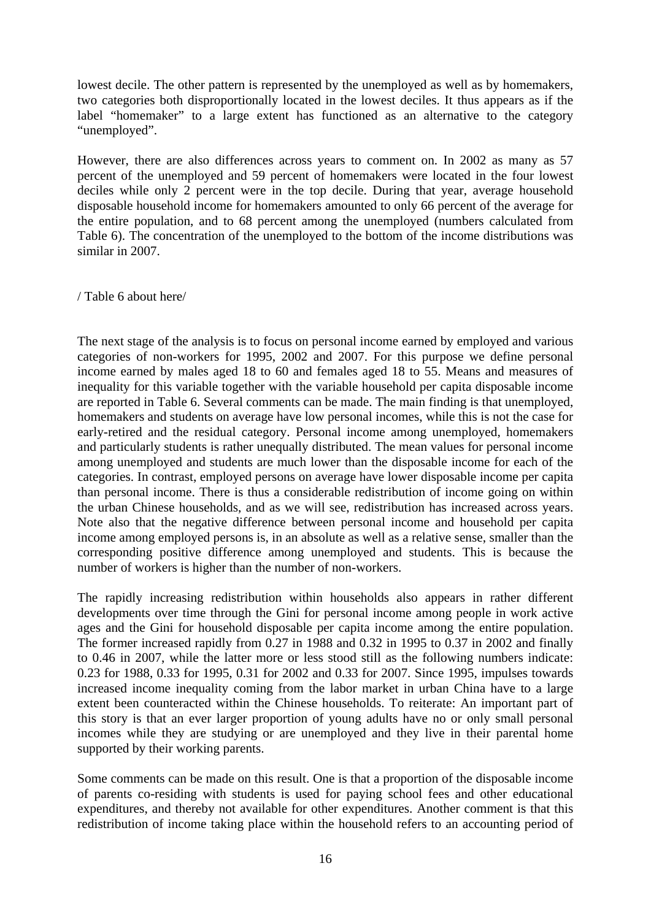lowest decile. The other pattern is represented by the unemployed as well as by homemakers, two categories both disproportionally located in the lowest deciles. It thus appears as if the label "homemaker" to a large extent has functioned as an alternative to the category "unemployed".

However, there are also differences across years to comment on. In 2002 as many as 57 percent of the unemployed and 59 percent of homemakers were located in the four lowest deciles while only 2 percent were in the top decile. During that year, average household disposable household income for homemakers amounted to only 66 percent of the average for the entire population, and to 68 percent among the unemployed (numbers calculated from Table 6). The concentration of the unemployed to the bottom of the income distributions was similar in 2007.

/ Table 6 about here/

The next stage of the analysis is to focus on personal income earned by employed and various categories of non-workers for 1995, 2002 and 2007. For this purpose we define personal income earned by males aged 18 to 60 and females aged 18 to 55. Means and measures of inequality for this variable together with the variable household per capita disposable income are reported in Table 6. Several comments can be made. The main finding is that unemployed, homemakers and students on average have low personal incomes, while this is not the case for early-retired and the residual category. Personal income among unemployed, homemakers and particularly students is rather unequally distributed. The mean values for personal income among unemployed and students are much lower than the disposable income for each of the categories. In contrast, employed persons on average have lower disposable income per capita than personal income. There is thus a considerable redistribution of income going on within the urban Chinese households, and as we will see, redistribution has increased across years. Note also that the negative difference between personal income and household per capita income among employed persons is, in an absolute as well as a relative sense, smaller than the corresponding positive difference among unemployed and students. This is because the number of workers is higher than the number of non-workers.

The rapidly increasing redistribution within households also appears in rather different developments over time through the Gini for personal income among people in work active ages and the Gini for household disposable per capita income among the entire population. The former increased rapidly from 0.27 in 1988 and 0.32 in 1995 to 0.37 in 2002 and finally to 0.46 in 2007, while the latter more or less stood still as the following numbers indicate: 0.23 for 1988, 0.33 for 1995, 0.31 for 2002 and 0.33 for 2007. Since 1995, impulses towards increased income inequality coming from the labor market in urban China have to a large extent been counteracted within the Chinese households. To reiterate: An important part of this story is that an ever larger proportion of young adults have no or only small personal incomes while they are studying or are unemployed and they live in their parental home supported by their working parents.

Some comments can be made on this result. One is that a proportion of the disposable income of parents co-residing with students is used for paying school fees and other educational expenditures, and thereby not available for other expenditures. Another comment is that this redistribution of income taking place within the household refers to an accounting period of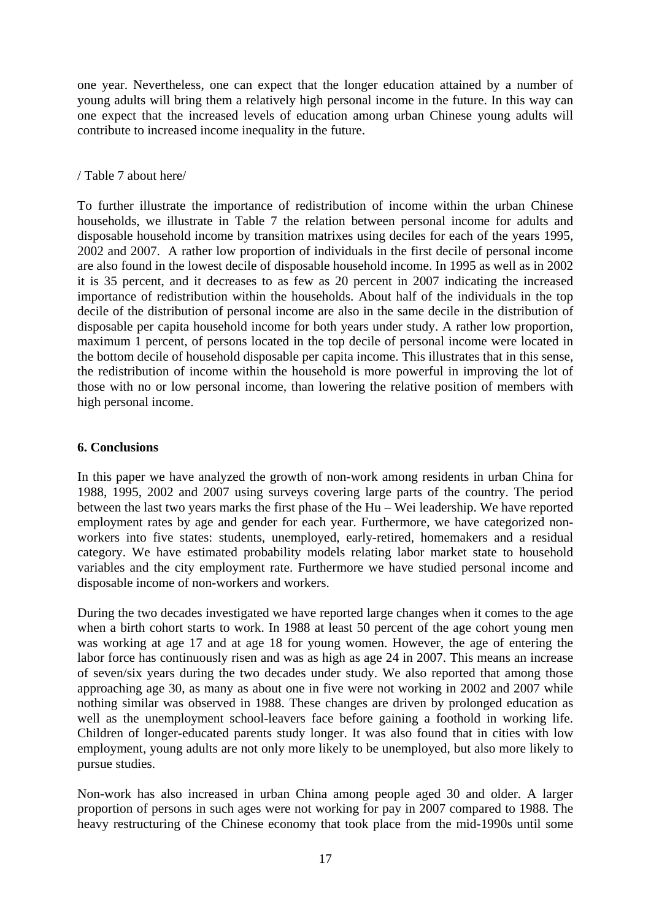one year. Nevertheless, one can expect that the longer education attained by a number of young adults will bring them a relatively high personal income in the future. In this way can one expect that the increased levels of education among urban Chinese young adults will contribute to increased income inequality in the future.

#### / Table 7 about here/

To further illustrate the importance of redistribution of income within the urban Chinese households, we illustrate in Table 7 the relation between personal income for adults and disposable household income by transition matrixes using deciles for each of the years 1995, 2002 and 2007. A rather low proportion of individuals in the first decile of personal income are also found in the lowest decile of disposable household income. In 1995 as well as in 2002 it is 35 percent, and it decreases to as few as 20 percent in 2007 indicating the increased importance of redistribution within the households. About half of the individuals in the top decile of the distribution of personal income are also in the same decile in the distribution of disposable per capita household income for both years under study. A rather low proportion, maximum 1 percent, of persons located in the top decile of personal income were located in the bottom decile of household disposable per capita income. This illustrates that in this sense, the redistribution of income within the household is more powerful in improving the lot of those with no or low personal income, than lowering the relative position of members with high personal income.

## **6. Conclusions**

In this paper we have analyzed the growth of non-work among residents in urban China for 1988, 1995, 2002 and 2007 using surveys covering large parts of the country. The period between the last two years marks the first phase of the Hu – Wei leadership. We have reported employment rates by age and gender for each year. Furthermore, we have categorized nonworkers into five states: students, unemployed, early-retired, homemakers and a residual category. We have estimated probability models relating labor market state to household variables and the city employment rate. Furthermore we have studied personal income and disposable income of non-workers and workers.

During the two decades investigated we have reported large changes when it comes to the age when a birth cohort starts to work. In 1988 at least 50 percent of the age cohort young men was working at age 17 and at age 18 for young women. However, the age of entering the labor force has continuously risen and was as high as age 24 in 2007. This means an increase of seven/six years during the two decades under study. We also reported that among those approaching age 30, as many as about one in five were not working in 2002 and 2007 while nothing similar was observed in 1988. These changes are driven by prolonged education as well as the unemployment school-leavers face before gaining a foothold in working life. Children of longer-educated parents study longer. It was also found that in cities with low employment, young adults are not only more likely to be unemployed, but also more likely to pursue studies.

Non-work has also increased in urban China among people aged 30 and older. A larger proportion of persons in such ages were not working for pay in 2007 compared to 1988. The heavy restructuring of the Chinese economy that took place from the mid-1990s until some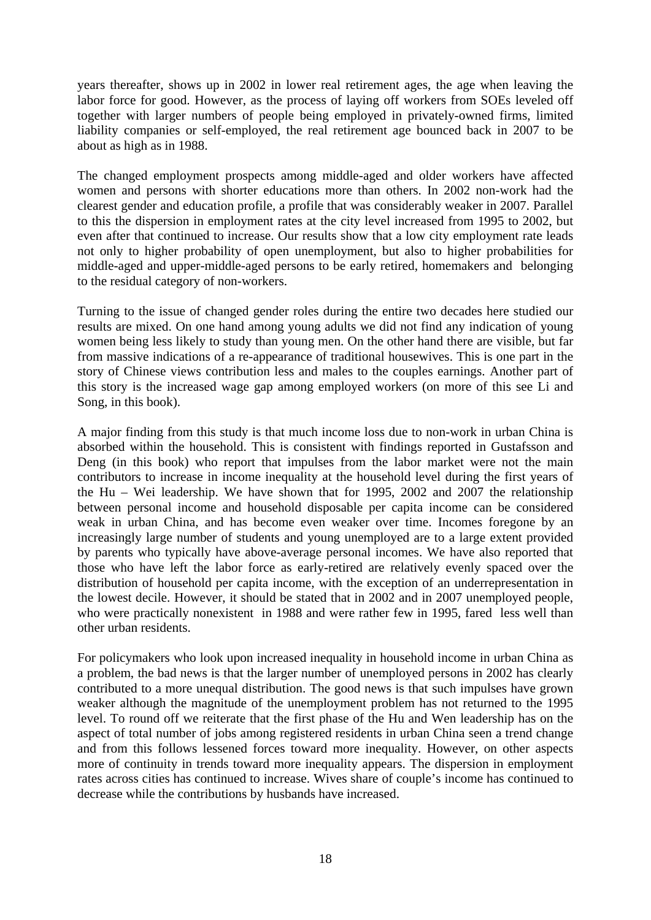years thereafter, shows up in 2002 in lower real retirement ages, the age when leaving the labor force for good. However, as the process of laying off workers from SOEs leveled off together with larger numbers of people being employed in privately-owned firms, limited liability companies or self-employed, the real retirement age bounced back in 2007 to be about as high as in 1988.

The changed employment prospects among middle-aged and older workers have affected women and persons with shorter educations more than others. In 2002 non-work had the clearest gender and education profile, a profile that was considerably weaker in 2007. Parallel to this the dispersion in employment rates at the city level increased from 1995 to 2002, but even after that continued to increase. Our results show that a low city employment rate leads not only to higher probability of open unemployment, but also to higher probabilities for middle-aged and upper-middle-aged persons to be early retired, homemakers and belonging to the residual category of non-workers.

Turning to the issue of changed gender roles during the entire two decades here studied our results are mixed. On one hand among young adults we did not find any indication of young women being less likely to study than young men. On the other hand there are visible, but far from massive indications of a re-appearance of traditional housewives. This is one part in the story of Chinese views contribution less and males to the couples earnings. Another part of this story is the increased wage gap among employed workers (on more of this see Li and Song, in this book).

A major finding from this study is that much income loss due to non-work in urban China is absorbed within the household. This is consistent with findings reported in Gustafsson and Deng (in this book) who report that impulses from the labor market were not the main contributors to increase in income inequality at the household level during the first years of the Hu – Wei leadership. We have shown that for 1995, 2002 and 2007 the relationship between personal income and household disposable per capita income can be considered weak in urban China, and has become even weaker over time. Incomes foregone by an increasingly large number of students and young unemployed are to a large extent provided by parents who typically have above-average personal incomes. We have also reported that those who have left the labor force as early-retired are relatively evenly spaced over the distribution of household per capita income, with the exception of an underrepresentation in the lowest decile. However, it should be stated that in 2002 and in 2007 unemployed people, who were practically nonexistent in 1988 and were rather few in 1995, fared less well than other urban residents.

For policymakers who look upon increased inequality in household income in urban China as a problem, the bad news is that the larger number of unemployed persons in 2002 has clearly contributed to a more unequal distribution. The good news is that such impulses have grown weaker although the magnitude of the unemployment problem has not returned to the 1995 level. To round off we reiterate that the first phase of the Hu and Wen leadership has on the aspect of total number of jobs among registered residents in urban China seen a trend change and from this follows lessened forces toward more inequality. However, on other aspects more of continuity in trends toward more inequality appears. The dispersion in employment rates across cities has continued to increase. Wives share of couple's income has continued to decrease while the contributions by husbands have increased.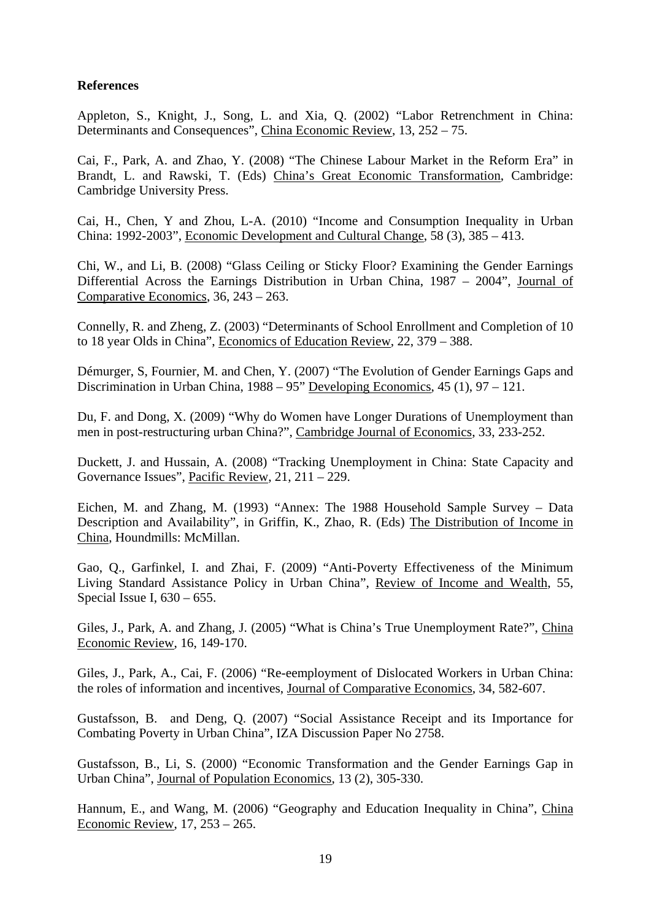### **References**

Appleton, S., Knight, J., Song, L. and Xia, Q. (2002) "Labor Retrenchment in China: Determinants and Consequences", China Economic Review, 13, 252 – 75.

Cai, F., Park, A. and Zhao, Y. (2008) "The Chinese Labour Market in the Reform Era" in Brandt, L. and Rawski, T. (Eds) China's Great Economic Transformation, Cambridge: Cambridge University Press.

Cai, H., Chen, Y and Zhou, L-A. (2010) "Income and Consumption Inequality in Urban China: 1992-2003", Economic Development and Cultural Change, 58 (3), 385 – 413.

Chi, W., and Li, B. (2008) "Glass Ceiling or Sticky Floor? Examining the Gender Earnings Differential Across the Earnings Distribution in Urban China, 1987 – 2004", Journal of Comparative Economics, 36, 243 – 263.

Connelly, R. and Zheng, Z. (2003) "Determinants of School Enrollment and Completion of 10 to 18 year Olds in China", Economics of Education Review, 22, 379 – 388.

Démurger, S, Fournier, M. and Chen, Y. (2007) "The Evolution of Gender Earnings Gaps and Discrimination in Urban China, 1988 – 95" Developing Economics, 45 (1), 97 – 121.

Du, F. and Dong, X. (2009) "Why do Women have Longer Durations of Unemployment than men in post-restructuring urban China?", Cambridge Journal of Economics, 33, 233-252.

Duckett, J. and Hussain, A. (2008) "Tracking Unemployment in China: State Capacity and Governance Issues", Pacific Review, 21, 211 – 229.

Eichen, M. and Zhang, M. (1993) "Annex: The 1988 Household Sample Survey – Data Description and Availability", in Griffin, K., Zhao, R. (Eds) The Distribution of Income in China, Houndmills: McMillan.

Gao, Q., Garfinkel, I. and Zhai, F. (2009) "Anti-Poverty Effectiveness of the Minimum Living Standard Assistance Policy in Urban China", Review of Income and Wealth, 55, Special Issue I, 630 – 655.

Giles, J., Park, A. and Zhang, J. (2005) "What is China's True Unemployment Rate?", China Economic Review, 16, 149-170.

Giles, J., Park, A., Cai, F. (2006) "Re-eemployment of Dislocated Workers in Urban China: the roles of information and incentives, Journal of Comparative Economics, 34, 582-607.

Gustafsson, B. and Deng, Q. (2007) "Social Assistance Receipt and its Importance for Combating Poverty in Urban China", IZA Discussion Paper No 2758.

Gustafsson, B., Li, S. (2000) "Economic Transformation and the Gender Earnings Gap in Urban China", Journal of Population Economics, 13 (2), 305-330.

Hannum, E., and Wang, M. (2006) "Geography and Education Inequality in China", China Economic Review, 17, 253 – 265.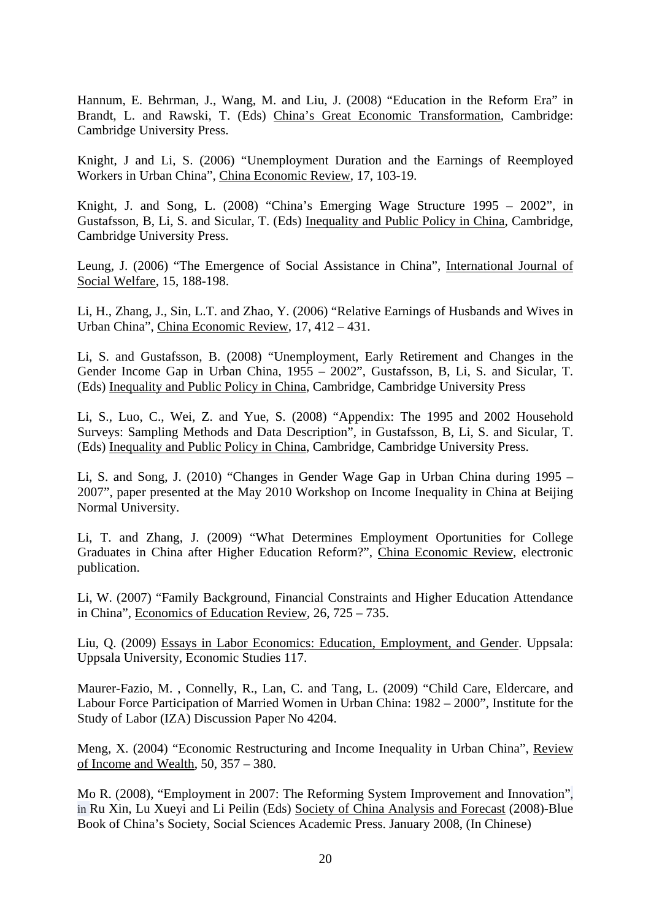Hannum, E. Behrman, J., Wang, M. and Liu, J. (2008) "Education in the Reform Era" in Brandt, L. and Rawski, T. (Eds) China's Great Economic Transformation, Cambridge: Cambridge University Press.

Knight, J and Li, S. (2006) "Unemployment Duration and the Earnings of Reemployed Workers in Urban China", China Economic Review, 17, 103-19.

Knight, J. and Song, L. (2008) "China's Emerging Wage Structure 1995 – 2002", in Gustafsson, B, Li, S. and Sicular, T. (Eds) Inequality and Public Policy in China, Cambridge, Cambridge University Press.

Leung, J. (2006) "The Emergence of Social Assistance in China", International Journal of Social Welfare, 15, 188-198.

Li, H., Zhang, J., Sin, L.T. and Zhao, Y. (2006) "Relative Earnings of Husbands and Wives in Urban China", China Economic Review, 17, 412 – 431.

Li, S. and Gustafsson, B. (2008) "Unemployment, Early Retirement and Changes in the Gender Income Gap in Urban China, 1955 – 2002", Gustafsson, B, Li, S. and Sicular, T. (Eds) Inequality and Public Policy in China, Cambridge, Cambridge University Press

Li, S., Luo, C., Wei, Z. and Yue, S. (2008) "Appendix: The 1995 and 2002 Household Surveys: Sampling Methods and Data Description", in Gustafsson, B, Li, S. and Sicular, T. (Eds) Inequality and Public Policy in China, Cambridge, Cambridge University Press.

Li, S. and Song, J. (2010) "Changes in Gender Wage Gap in Urban China during 1995 – 2007", paper presented at the May 2010 Workshop on Income Inequality in China at Beijing Normal University.

Li, T. and Zhang, J. (2009) "What Determines Employment Oportunities for College Graduates in China after Higher Education Reform?", China Economic Review, electronic publication.

Li, W. (2007) "Family Background, Financial Constraints and Higher Education Attendance in China", Economics of Education Review, 26, 725 – 735.

Liu, Q. (2009) Essays in Labor Economics: Education, Employment, and Gender. Uppsala: Uppsala University, Economic Studies 117.

Maurer-Fazio, M. , Connelly, R., Lan, C. and Tang, L. (2009) "Child Care, Eldercare, and Labour Force Participation of Married Women in Urban China: 1982 – 2000", Institute for the Study of Labor (IZA) Discussion Paper No 4204.

Meng, X. (2004) "Economic Restructuring and Income Inequality in Urban China", Review of Income and Wealth, 50, 357 – 380.

Mo R. (2008), "Employment in 2007: The Reforming System Improvement and Innovation", in Ru Xin, Lu Xueyi and Li Peilin (Eds) Society of China Analysis and Forecast (2008)-Blue Book of China's Society, Social Sciences Academic Press. January 2008, (In Chinese)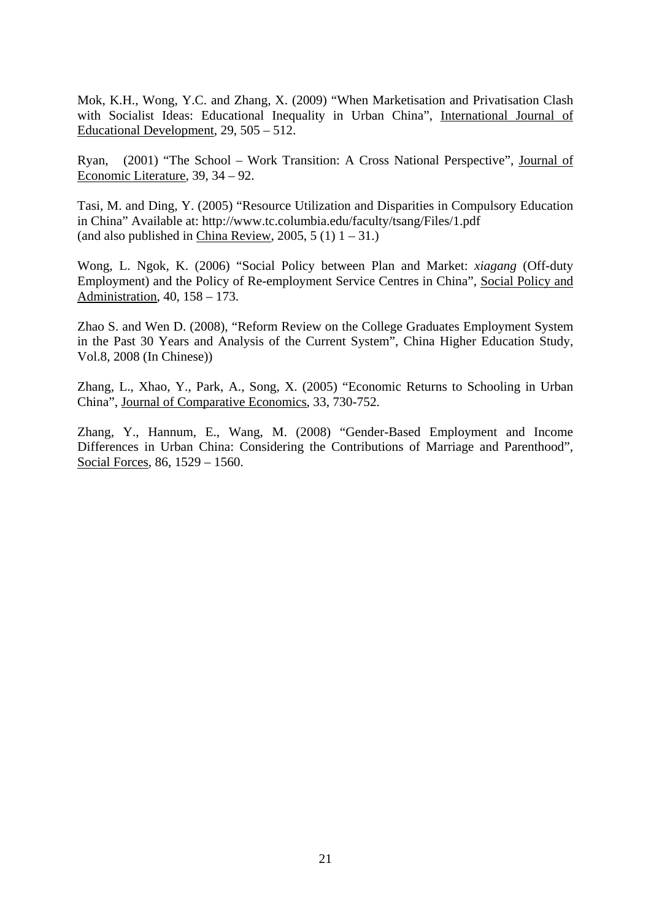Mok, K.H., Wong, Y.C. and Zhang, X. (2009) "When Marketisation and Privatisation Clash with Socialist Ideas: Educational Inequality in Urban China", International Journal of Educational Development, 29, 505 – 512.

Ryan, (2001) "The School – Work Transition: A Cross National Perspective", Journal of Economic Literature, 39, 34 – 92.

Tasi, M. and Ding, Y. (2005) "Resource Utilization and Disparities in Compulsory Education in China" Available at: http://www.tc.columbia.edu/faculty/tsang/Files/1.pdf (and also published in China Review, 2005, 5 (1)  $1 - 31$ .)

Wong, L. Ngok, K. (2006) "Social Policy between Plan and Market: *xiagang* (Off-duty Employment) and the Policy of Re-employment Service Centres in China", Social Policy and Administration, 40, 158 – 173.

Zhao S. and Wen D. (2008), "Reform Review on the College Graduates Employment System in the Past 30 Years and Analysis of the Current System", China Higher Education Study, Vol.8, 2008 (In Chinese))

Zhang, L., Xhao, Y., Park, A., Song, X. (2005) "Economic Returns to Schooling in Urban China", Journal of Comparative Economics, 33, 730-752.

Zhang, Y., Hannum, E., Wang, M. (2008) "Gender-Based Employment and Income Differences in Urban China: Considering the Contributions of Marriage and Parenthood", Social Forces, 86, 1529 – 1560.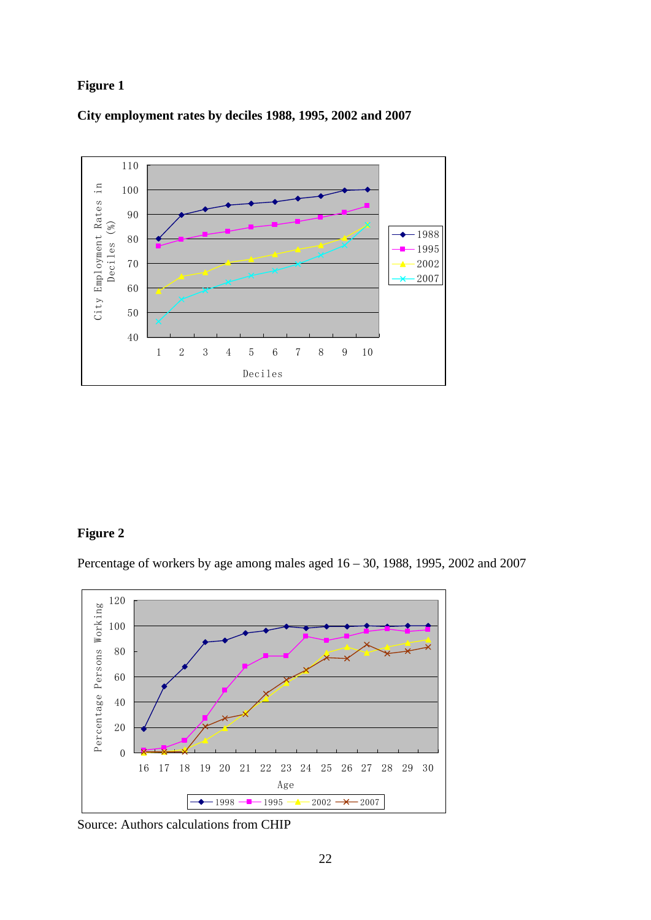

## **City employment rates by deciles 1988, 1995, 2002 and 2007**

# **Figure 2**

Percentage of workers by age among males aged 16 – 30, 1988, 1995, 2002 and 2007

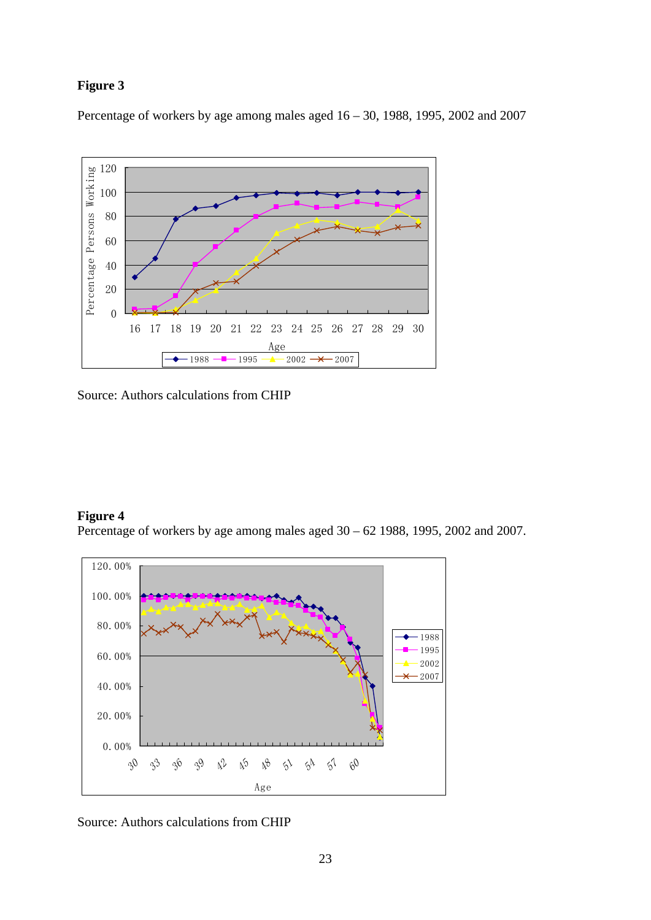Percentage of workers by age among males aged  $16 - 30$ , 1988, 1995, 2002 and 2007



Source: Authors calculations from CHIP

#### **Figure 4**

Percentage of workers by age among males aged 30 – 62 1988, 1995, 2002 and 2007.

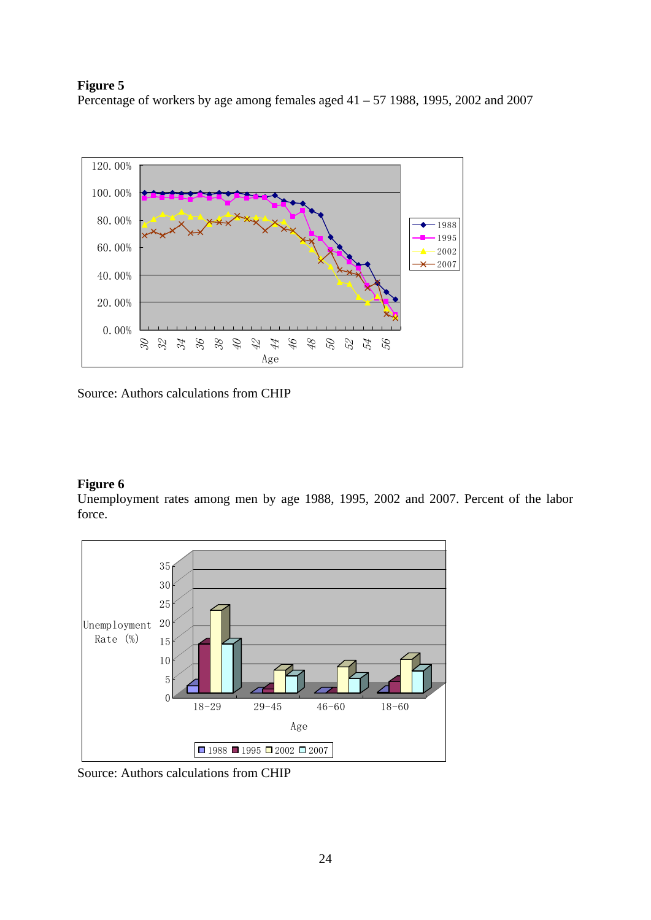



Source: Authors calculations from CHIP

Unemployment rates among men by age 1988, 1995, 2002 and 2007. Percent of the labor force.



Source: Authors calculations from CHIP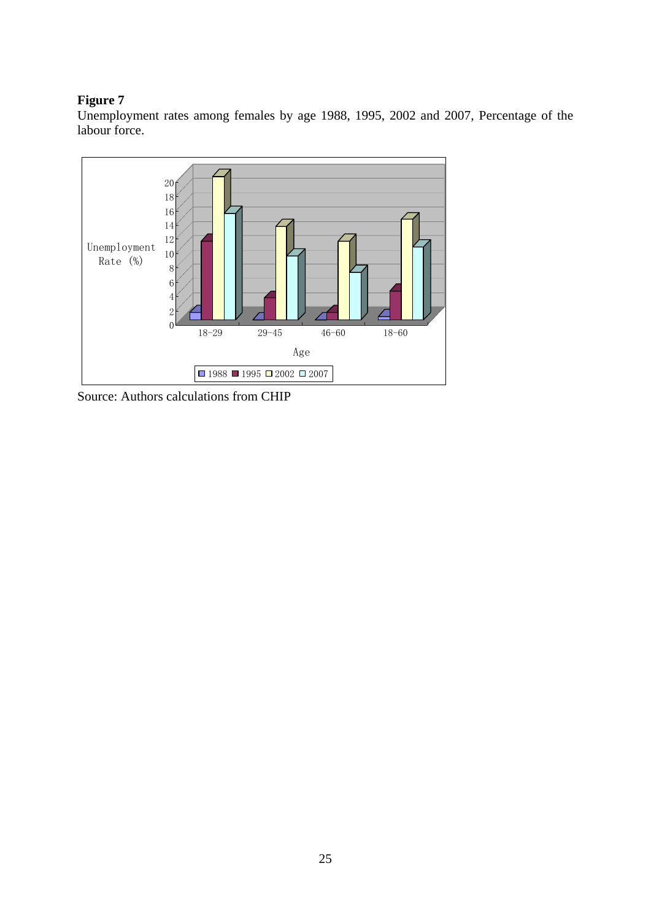Unemployment rates among females by age 1988, 1995, 2002 and 2007, Percentage of the labour force.



Source: Authors calculations from CHIP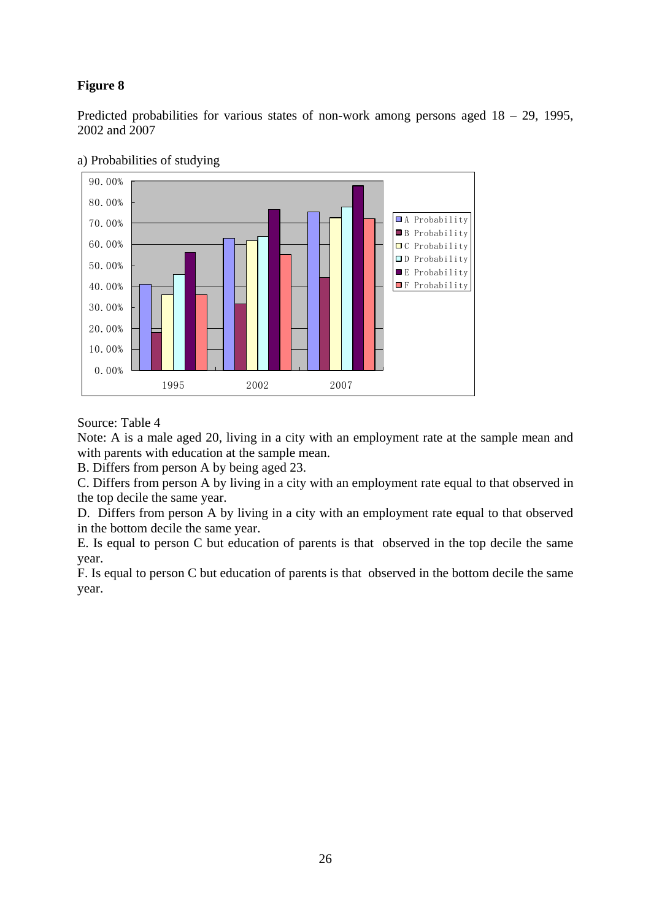Predicted probabilities for various states of non-work among persons aged  $18 - 29$ , 1995, 2002 and 2007



a) Probabilities of studying

Source: Table 4

Note: A is a male aged 20, living in a city with an employment rate at the sample mean and with parents with education at the sample mean.

B. Differs from person A by being aged 23.

C. Differs from person A by living in a city with an employment rate equal to that observed in the top decile the same year.

D. Differs from person A by living in a city with an employment rate equal to that observed in the bottom decile the same year.

E. Is equal to person C but education of parents is that observed in the top decile the same year.

F. Is equal to person C but education of parents is that observed in the bottom decile the same year.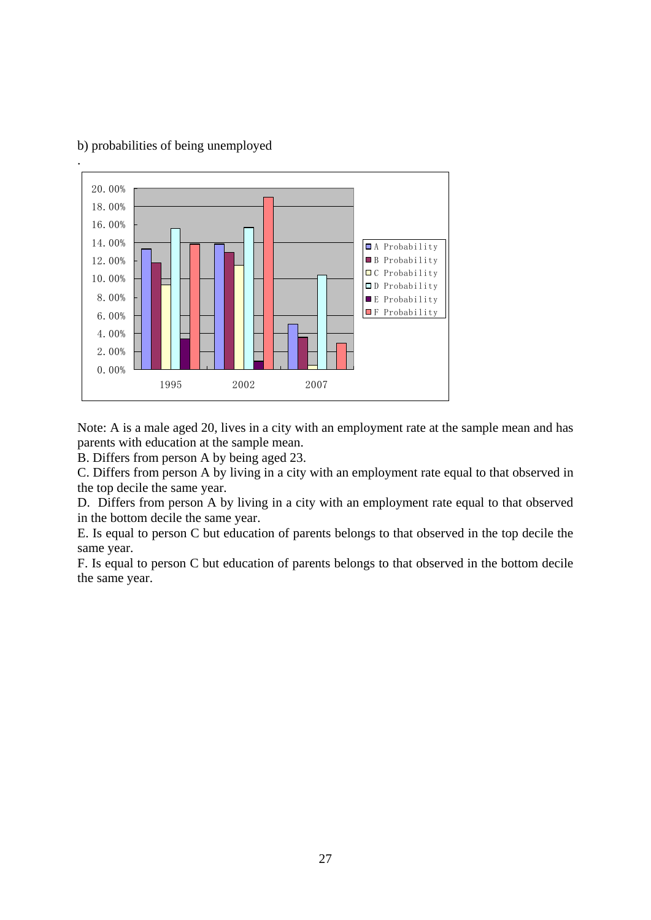

#### b) probabilities of being unemployed

Note: A is a male aged 20, lives in a city with an employment rate at the sample mean and has parents with education at the sample mean.

B. Differs from person A by being aged 23.

C. Differs from person A by living in a city with an employment rate equal to that observed in the top decile the same year.

D. Differs from person A by living in a city with an employment rate equal to that observed in the bottom decile the same year.

E. Is equal to person C but education of parents belongs to that observed in the top decile the same year.

F. Is equal to person C but education of parents belongs to that observed in the bottom decile the same year.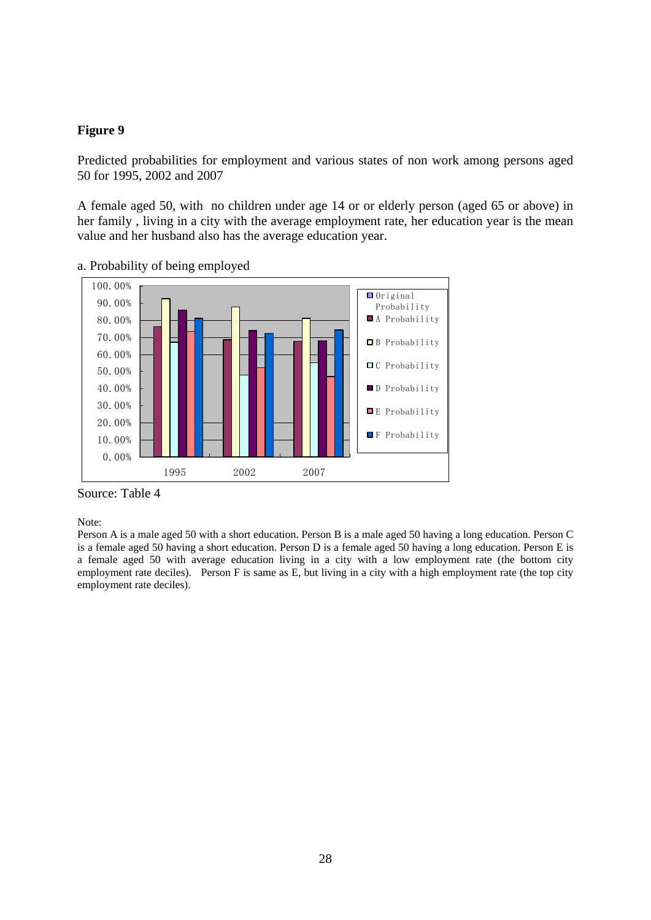Predicted probabilities for employment and various states of non work among persons aged 50 for 1995, 2002 and 2007

A female aged 50, with no children under age 14 or or elderly person (aged 65 or above) in her family , living in a city with the average employment rate, her education year is the mean value and her husband also has the average education year.



a. Probability of being employed

Note:

Person A is a male aged 50 with a short education. Person B is a male aged 50 having a long education. Person C is a female aged 50 having a short education. Person D is a female aged 50 having a long education. Person E is a female aged 50 with average education living in a city with a low employment rate (the bottom city employment rate deciles). Person F is same as E, but living in a city with a high employment rate (the top city employment rate deciles).

Source: Table 4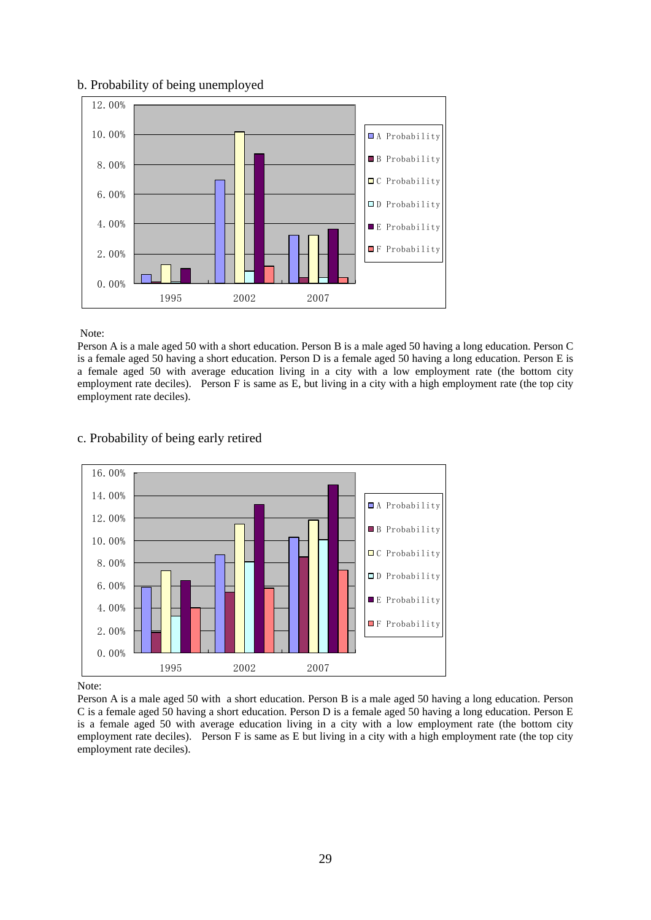#### b. Probability of being unemployed



Note:

Person A is a male aged 50 with a short education. Person B is a male aged 50 having a long education. Person C is a female aged 50 having a short education. Person D is a female aged 50 having a long education. Person E is a female aged 50 with average education living in a city with a low employment rate (the bottom city employment rate deciles). Person F is same as E, but living in a city with a high employment rate (the top city employment rate deciles).



#### c. Probability of being early retired

Note:

Person A is a male aged 50 with a short education. Person B is a male aged 50 having a long education. Person C is a female aged 50 having a short education. Person D is a female aged 50 having a long education. Person E is a female aged 50 with average education living in a city with a low employment rate (the bottom city employment rate deciles). Person F is same as E but living in a city with a high employment rate (the top city employment rate deciles).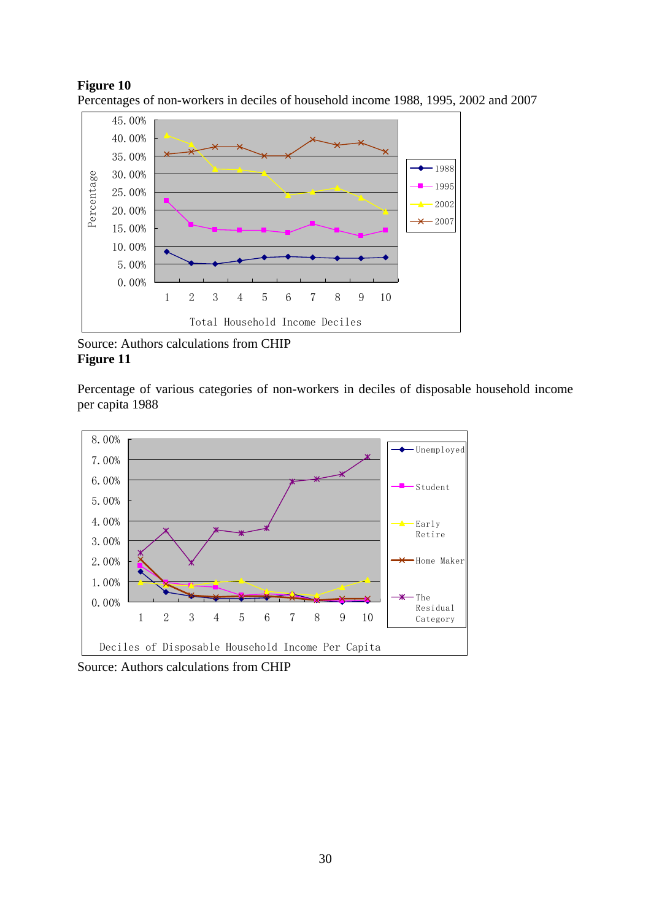

Percentages of non-workers in deciles of household income 1988, 1995, 2002 and 2007

Source: Authors calculations from CHIP **Figure 11** 

Percentage of various categories of non-workers in deciles of disposable household income per capita 1988



Source: Authors calculations from CHIP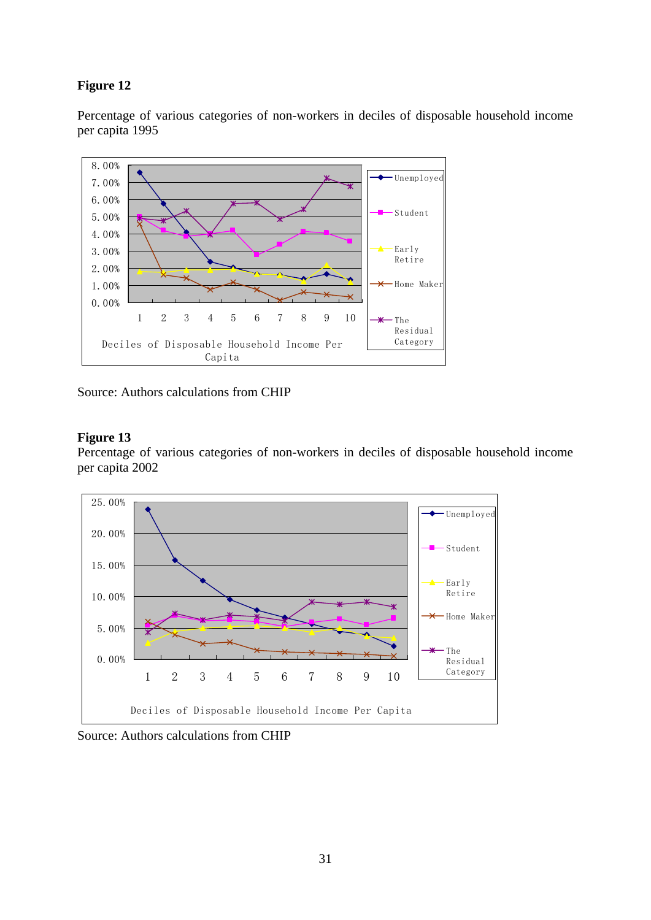Percentage of various categories of non-workers in deciles of disposable household income per capita 1995



Source: Authors calculations from CHIP

### **Figure 13**

Percentage of various categories of non-workers in deciles of disposable household income per capita 2002



Source: Authors calculations from CHIP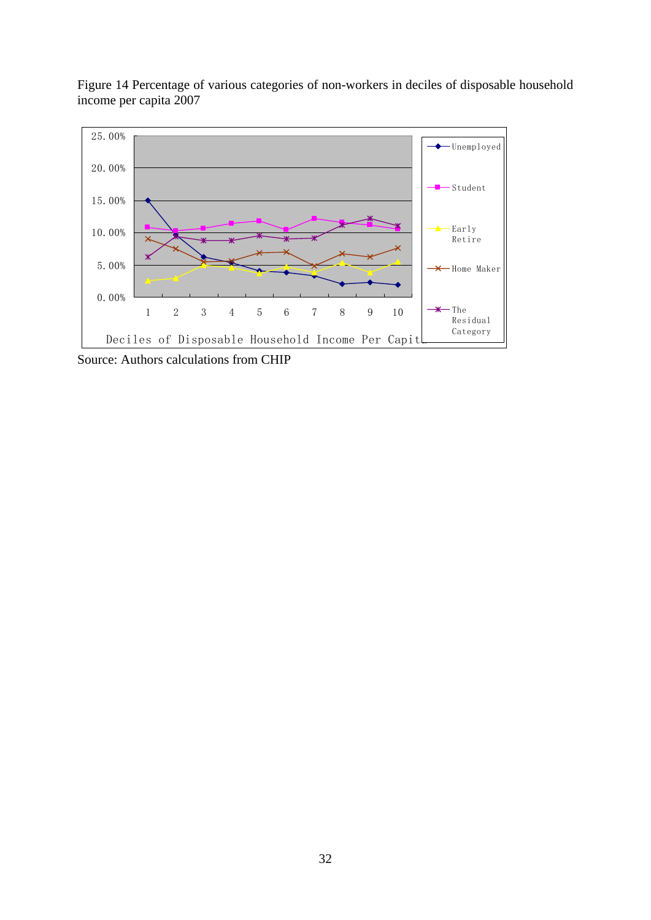

Figure 14 Percentage of various categories of non-workers in deciles of disposable household income per capita 2007

Source: Authors calculations from CHIP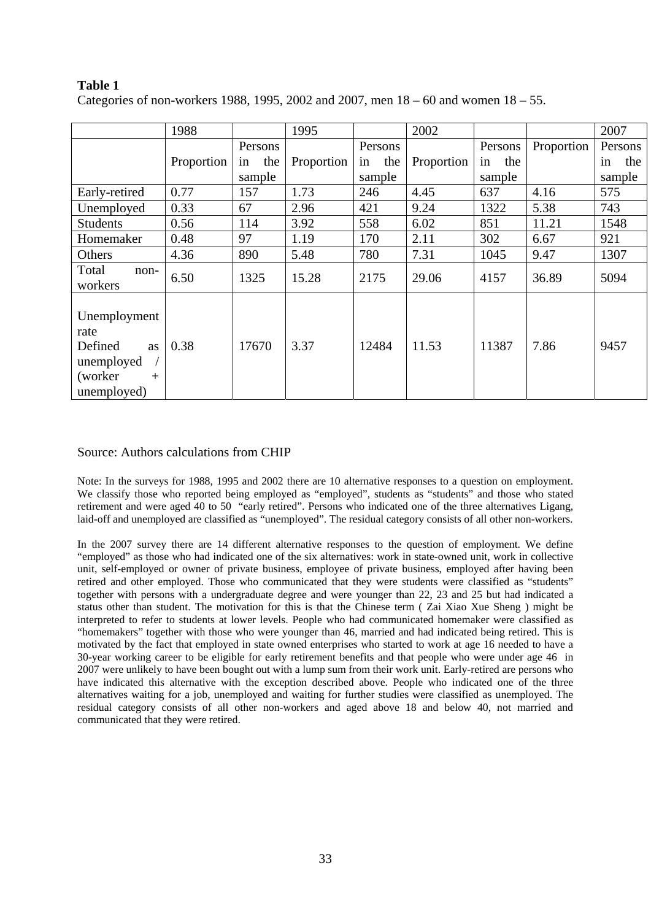### **Table 1**  Categories of non-workers 1988, 1995, 2002 and 2007, men 18 – 60 and women 18 – 55.

|                                                                                              | 1988       |           | 1995       |           | 2002       |           |            | 2007      |
|----------------------------------------------------------------------------------------------|------------|-----------|------------|-----------|------------|-----------|------------|-----------|
|                                                                                              |            | Persons   |            | Persons   |            | Persons   | Proportion | Persons   |
|                                                                                              | Proportion | in<br>the | Proportion | in<br>the | Proportion | in<br>the |            | in<br>the |
|                                                                                              |            | sample    |            | sample    |            | sample    |            | sample    |
| Early-retired                                                                                | 0.77       | 157       | 1.73       | 246       | 4.45       | 637       | 4.16       | 575       |
| Unemployed                                                                                   | 0.33       | 67        | 2.96       | 421       | 9.24       | 1322      | 5.38       | 743       |
| <b>Students</b>                                                                              | 0.56       | 114       | 3.92       | 558       | 6.02       | 851       | 11.21      | 1548      |
| Homemaker                                                                                    | 0.48       | 97        | 1.19       | 170       | 2.11       | 302       | 6.67       | 921       |
| Others                                                                                       | 4.36       | 890       | 5.48       | 780       | 7.31       | 1045      | 9.47       | 1307      |
| Total<br>non-<br>workers                                                                     | 6.50       | 1325      | 15.28      | 2175      | 29.06      | 4157      | 36.89      | 5094      |
| Unemployment<br>rate<br>Defined<br><b>as</b><br>unemployed<br>(worker)<br>$+$<br>unemployed) | 0.38       | 17670     | 3.37       | 12484     | 11.53      | 11387     | 7.86       | 9457      |

#### Source: Authors calculations from CHIP

Note: In the surveys for 1988, 1995 and 2002 there are 10 alternative responses to a question on employment. We classify those who reported being employed as "employed", students as "students" and those who stated retirement and were aged 40 to 50 "early retired". Persons who indicated one of the three alternatives Ligang, laid-off and unemployed are classified as "unemployed". The residual category consists of all other non-workers.

In the 2007 survey there are 14 different alternative responses to the question of employment. We define "employed" as those who had indicated one of the six alternatives: work in state-owned unit, work in collective unit, self-employed or owner of private business, employee of private business, employed after having been retired and other employed. Those who communicated that they were students were classified as "students" together with persons with a undergraduate degree and were younger than 22, 23 and 25 but had indicated a status other than student. The motivation for this is that the Chinese term ( Zai Xiao Xue Sheng ) might be interpreted to refer to students at lower levels. People who had communicated homemaker were classified as "homemakers" together with those who were younger than 46, married and had indicated being retired. This is motivated by the fact that employed in state owned enterprises who started to work at age 16 needed to have a 30-year working career to be eligible for early retirement benefits and that people who were under age 46 in 2007 were unlikely to have been bought out with a lump sum from their work unit. Early-retired are persons who have indicated this alternative with the exception described above. People who indicated one of the three alternatives waiting for a job, unemployed and waiting for further studies were classified as unemployed. The residual category consists of all other non-workers and aged above 18 and below 40, not married and communicated that they were retired.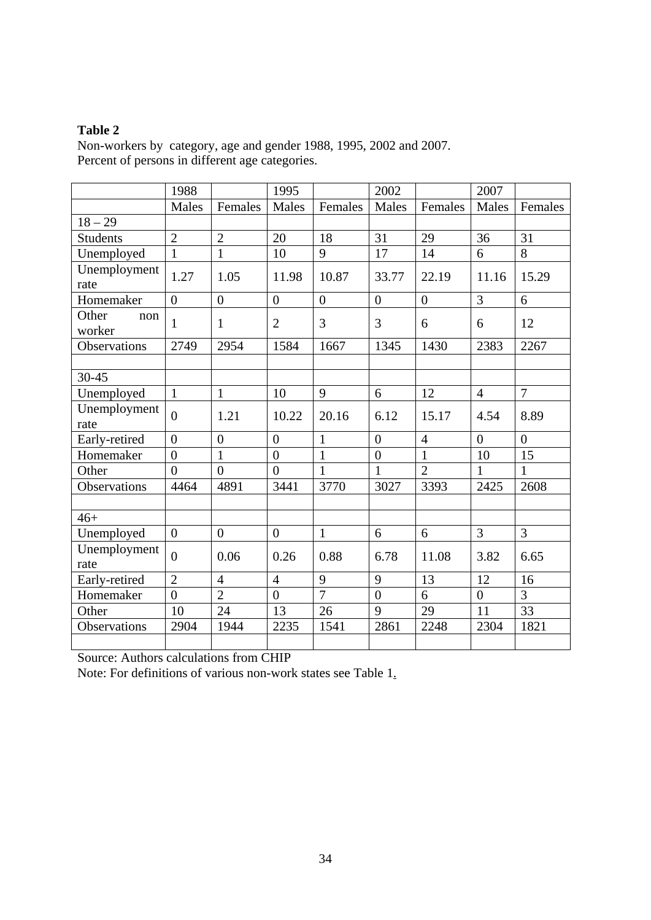Non-workers by category, age and gender 1988, 1995, 2002 and 2007. Percent of persons in different age categories.

|                                        | 1988           |                  | 1995             |                  | 2002           |                | 2007           |                |
|----------------------------------------|----------------|------------------|------------------|------------------|----------------|----------------|----------------|----------------|
|                                        | Males          | Females          | Males            | Females          | Males          | Females        | Males          | Females        |
| $18 - 29$                              |                |                  |                  |                  |                |                |                |                |
| <b>Students</b>                        | $\overline{2}$ | $\overline{2}$   | 20               | 18               | 31             | 29             | 36             | 31             |
| Unemployed                             | $\mathbf{1}$   | $\mathbf{1}$     | 10               | 9                | 17             | 14             | 6              | 8              |
| Unemployment<br>rate                   | 1.27           | 1.05             | 11.98            | 10.87            | 33.77          | 22.19          | 11.16          | 15.29          |
| Homemaker                              | $\overline{0}$ | $\boldsymbol{0}$ | $\overline{0}$   | $\boldsymbol{0}$ | $\overline{0}$ | $\overline{0}$ | $\overline{3}$ | 6              |
| Other<br>non<br>worker                 | $\mathbf{1}$   | $\mathbf{1}$     | $\overline{2}$   | 3                | 3              | 6              | 6              | 12             |
| <b>Observations</b>                    | 2749           | 2954             | 1584             | 1667             | 1345           | 1430           | 2383           | 2267           |
|                                        |                |                  |                  |                  |                |                |                |                |
| 30-45                                  |                |                  |                  |                  |                |                |                |                |
| Unemployed                             | $\mathbf{1}$   | $\mathbf{1}$     | 10               | 9                | 6              | 12             | $\overline{4}$ | $\overline{7}$ |
| Unemployment<br>rate                   | $\overline{0}$ | 1.21             | 10.22            | 20.16            | 6.12           | 15.17          | 4.54           | 8.89           |
| Early-retired                          | $\overline{0}$ | $\overline{0}$   | $\overline{0}$   | $\mathbf{1}$     | $\overline{0}$ | $\overline{4}$ | $\overline{0}$ | $\overline{0}$ |
| Homemaker                              | $\overline{0}$ | $\mathbf{1}$     | $\overline{0}$   | $\mathbf{1}$     | $\overline{0}$ | $\overline{1}$ | 10             | 15             |
| Other                                  | $\overline{0}$ | $\overline{0}$   | $\overline{0}$   | $\mathbf{1}$     | $\mathbf{1}$   | $\overline{2}$ | $\mathbf{1}$   | $\mathbf{1}$   |
| Observations                           | 4464           | 4891             | 3441             | 3770             | 3027           | 3393           | 2425           | 2608           |
|                                        |                |                  |                  |                  |                |                |                |                |
| $46+$                                  |                |                  |                  |                  |                |                |                |                |
| Unemployed                             | $\theta$       | $\overline{0}$   | $\boldsymbol{0}$ | $\mathbf{1}$     | 6              | 6              | 3              | $\overline{3}$ |
| Unemployment<br>rate                   | $\overline{0}$ | 0.06             | 0.26             | 0.88             | 6.78           | 11.08          | 3.82           | 6.65           |
| Early-retired                          | $\overline{2}$ | $\overline{4}$   | $\overline{4}$   | 9                | 9              | 13             | 12             | 16             |
| Homemaker                              | $\overline{0}$ | $\overline{2}$   | $\overline{0}$   | $\overline{7}$   | $\overline{0}$ | 6              | $\overline{0}$ | $\overline{3}$ |
| Other                                  | 10             | 24               | 13               | 26               | 9              | 29             | 11             | 33             |
| Observations                           | 2904           | 1944             | 2235             | 1541             | 2861           | 2248           | 2304           | 1821           |
|                                        |                |                  |                  |                  |                |                |                |                |
| Source: Authors calculations from CHIP |                |                  |                  |                  |                |                |                |                |

Note: For definitions of various non-work states see Table 1.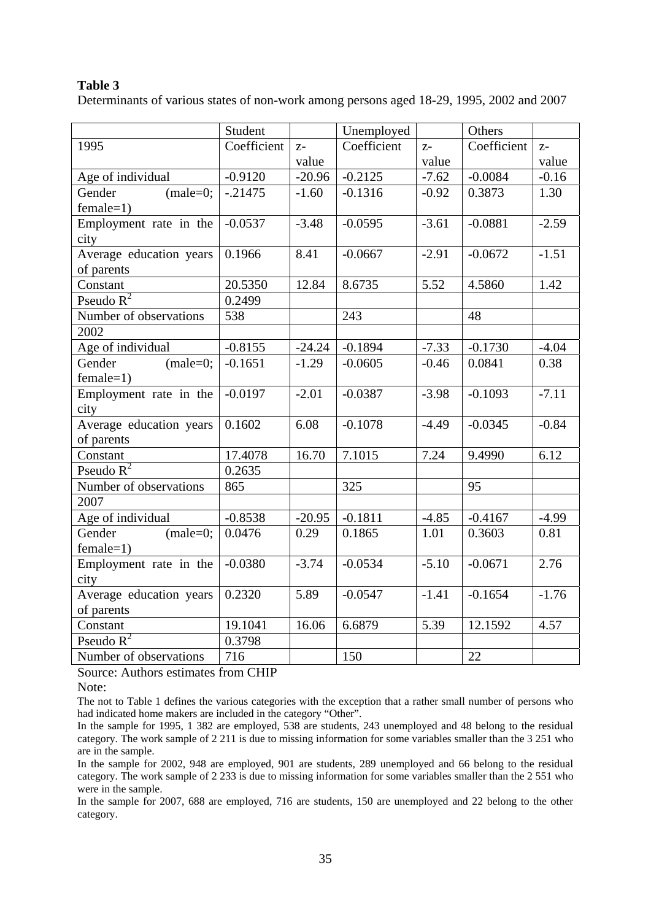Determinants of various states of non-work among persons aged 18-29, 1995, 2002 and 2007

|                         | Student             |          | Unemployed  |         | Others      |         |
|-------------------------|---------------------|----------|-------------|---------|-------------|---------|
| 1995                    | Coefficient         | $Z-$     | Coefficient | $Z-$    | Coefficient | $Z-$    |
|                         |                     | value    |             | value   |             | value   |
| Age of individual       | $-0.9120$           | $-20.96$ | $-0.2125$   | $-7.62$ | $-0.0084$   | $-0.16$ |
| $(male=0;$<br>Gender    | $-.21475$           | $-1.60$  | $-0.1316$   | $-0.92$ | 0.3873      | 1.30    |
| $female=1)$             |                     |          |             |         |             |         |
| Employment rate in the  | $-0.0537$           | $-3.48$  | $-0.0595$   | $-3.61$ | $-0.0881$   | $-2.59$ |
| city                    |                     |          |             |         |             |         |
| Average education years | 0.1966              | 8.41     | $-0.0667$   | $-2.91$ | $-0.0672$   | $-1.51$ |
| of parents              |                     |          |             |         |             |         |
| Constant                | 20.5350             | 12.84    | 8.6735      | 5.52    | 4.5860      | 1.42    |
| Pseudo $R^2$            | 0.2499              |          |             |         |             |         |
| Number of observations  | 538                 |          | 243         |         | 48          |         |
| 2002                    |                     |          |             |         |             |         |
| Age of individual       | $-0.8155$           | $-24.24$ | $-0.1894$   | $-7.33$ | $-0.1730$   | $-4.04$ |
| $(male=0;$<br>Gender    | $-0.1651$           | $-1.29$  | $-0.0605$   | $-0.46$ | 0.0841      | 0.38    |
| $female=1)$             |                     |          |             |         |             |         |
| Employment rate in the  | $-0.0197$           | $-2.01$  | $-0.0387$   | $-3.98$ | $-0.1093$   | $-7.11$ |
| city                    |                     |          |             |         |             |         |
| Average education years | $\overline{0.1602}$ | 6.08     | $-0.1078$   | $-4.49$ | $-0.0345$   | $-0.84$ |
| of parents              |                     |          |             |         |             |         |
| Constant                | 17.4078             | 16.70    | 7.1015      | 7.24    | 9.4990      | 6.12    |
| Pseudo $R^2$            | 0.2635              |          |             |         |             |         |
| Number of observations  | 865                 |          | 325         |         | 95          |         |
| 2007                    |                     |          |             |         |             |         |
| Age of individual       | $-0.8538$           | $-20.95$ | $-0.1811$   | $-4.85$ | $-0.4167$   | $-4.99$ |
| Gender<br>$(male=0;$    | 0.0476              | 0.29     | 0.1865      | 1.01    | 0.3603      | 0.81    |
| $female=1)$             |                     |          |             |         |             |         |
| Employment rate in the  | $-0.0380$           | $-3.74$  | $-0.0534$   | $-5.10$ | $-0.0671$   | 2.76    |
| city                    |                     |          |             |         |             |         |
| Average education years | $\overline{0.2320}$ | 5.89     | $-0.0547$   | $-1.41$ | $-0.1654$   | $-1.76$ |
| of parents              |                     |          |             |         |             |         |
| Constant                | 19.1041             | 16.06    | 6.6879      | 5.39    | 12.1592     | 4.57    |
| Pseudo $R^2$            | 0.3798              |          |             |         |             |         |
| Number of observations  | 716                 |          | 150         |         | 22          |         |

Source: Authors estimates from CHIP

Note:

The not to Table 1 defines the various categories with the exception that a rather small number of persons who had indicated home makers are included in the category "Other".

In the sample for 1995, 1 382 are employed, 538 are students, 243 unemployed and 48 belong to the residual category. The work sample of 2 211 is due to missing information for some variables smaller than the 3 251 who are in the sample.

In the sample for 2002, 948 are employed, 901 are students, 289 unemployed and 66 belong to the residual category. The work sample of 2 233 is due to missing information for some variables smaller than the 2 551 who were in the sample.

In the sample for 2007, 688 are employed, 716 are students, 150 are unemployed and 22 belong to the other category.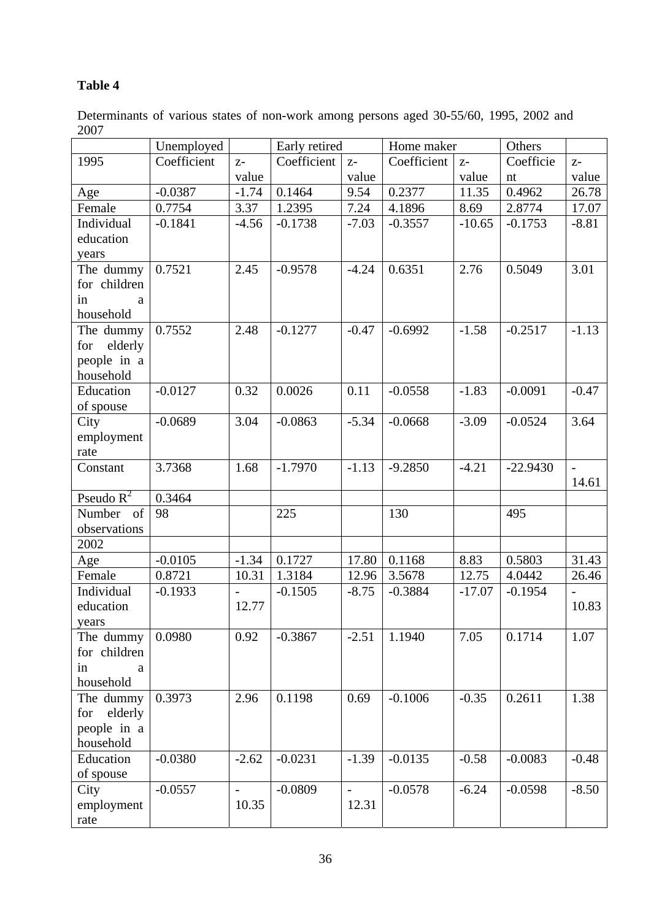Determinants of various states of non-work among persons aged 30-55/60, 1995, 2002 and 2007

|                | Unemployed  |                          | Early retired |                          | Home maker  |          | Others     |                          |
|----------------|-------------|--------------------------|---------------|--------------------------|-------------|----------|------------|--------------------------|
| 1995           | Coefficient | $Z-$                     | Coefficient   | $Z-$                     | Coefficient | $Z-$     | Coefficie  | $Z-$                     |
|                |             | value                    |               | value                    |             | value    | nt         | value                    |
| Age            | $-0.0387$   | $-1.74$                  | 0.1464        | 9.54                     | 0.2377      | 11.35    | 0.4962     | 26.78                    |
| Female         | 0.7754      | 3.37                     | 1.2395        | 7.24                     | 4.1896      | 8.69     | 2.8774     | 17.07                    |
| Individual     | $-0.1841$   | $-4.56$                  | $-0.1738$     | $-7.03$                  | $-0.3557$   | $-10.65$ | $-0.1753$  | $-8.81$                  |
| education      |             |                          |               |                          |             |          |            |                          |
| years          |             |                          |               |                          |             |          |            |                          |
| The dummy      | 0.7521      | 2.45                     | $-0.9578$     | $-4.24$                  | 0.6351      | 2.76     | 0.5049     | 3.01                     |
| for children   |             |                          |               |                          |             |          |            |                          |
| in<br>a        |             |                          |               |                          |             |          |            |                          |
| household      |             |                          |               |                          |             |          |            |                          |
| The dummy      | 0.7552      | 2.48                     | $-0.1277$     | $-0.47$                  | $-0.6992$   | $-1.58$  | $-0.2517$  | $-1.13$                  |
| elderly<br>for |             |                          |               |                          |             |          |            |                          |
| people in a    |             |                          |               |                          |             |          |            |                          |
| household      |             |                          |               |                          |             |          |            |                          |
| Education      | $-0.0127$   | 0.32                     | 0.0026        | 0.11                     | $-0.0558$   | $-1.83$  | $-0.0091$  | $-0.47$                  |
| of spouse      |             |                          |               |                          |             |          |            |                          |
| City           | $-0.0689$   | 3.04                     | $-0.0863$     | $-5.34$                  | $-0.0668$   | $-3.09$  | $-0.0524$  | 3.64                     |
| employment     |             |                          |               |                          |             |          |            |                          |
| rate           |             |                          |               |                          |             |          |            |                          |
| Constant       | 3.7368      | 1.68                     | $-1.7970$     | $-1.13$                  | $-9.2850$   | $-4.21$  | $-22.9430$ | $\overline{a}$           |
| Pseudo $R^2$   | 0.3464      |                          |               |                          |             |          |            | 14.61                    |
| Number of      | 98          |                          | 225           |                          | 130         |          | 495        |                          |
| observations   |             |                          |               |                          |             |          |            |                          |
| 2002           |             |                          |               |                          |             |          |            |                          |
| Age            | $-0.0105$   | $-1.34$                  | 0.1727        | 17.80                    | 0.1168      | 8.83     | 0.5803     | 31.43                    |
| Female         | 0.8721      | 10.31                    | 1.3184        | 12.96                    | 3.5678      | 12.75    | 4.0442     | 26.46                    |
| Individual     | $-0.1933$   | $\overline{\phantom{a}}$ | $-0.1505$     | $-8.75$                  | $-0.3884$   | $-17.07$ | $-0.1954$  | $\overline{\phantom{a}}$ |
| education      |             | 12.77                    |               |                          |             |          |            | 10.83                    |
| years          |             |                          |               |                          |             |          |            |                          |
| The dummy      | 0.0980      | 0.92                     | $-0.3867$     | $-2.51$                  | 1.1940      | 7.05     | 0.1714     | 1.07                     |
| for children   |             |                          |               |                          |             |          |            |                          |
| in<br>a        |             |                          |               |                          |             |          |            |                          |
| household      |             |                          |               |                          |             |          |            |                          |
| The dummy      | 0.3973      | 2.96                     | 0.1198        | 0.69                     | $-0.1006$   | $-0.35$  | 0.2611     | 1.38                     |
| elderly<br>for |             |                          |               |                          |             |          |            |                          |
| people in a    |             |                          |               |                          |             |          |            |                          |
| household      |             |                          |               |                          |             |          |            |                          |
| Education      | $-0.0380$   | $-2.62$                  | $-0.0231$     | $-1.39$                  | $-0.0135$   | $-0.58$  | $-0.0083$  | $-0.48$                  |
| of spouse      |             |                          |               |                          |             |          |            |                          |
| City           | $-0.0557$   | $\overline{a}$           | $-0.0809$     | $\overline{\phantom{0}}$ | $-0.0578$   | $-6.24$  | $-0.0598$  | $-8.50$                  |
| employment     |             | 10.35                    |               | 12.31                    |             |          |            |                          |
| rate           |             |                          |               |                          |             |          |            |                          |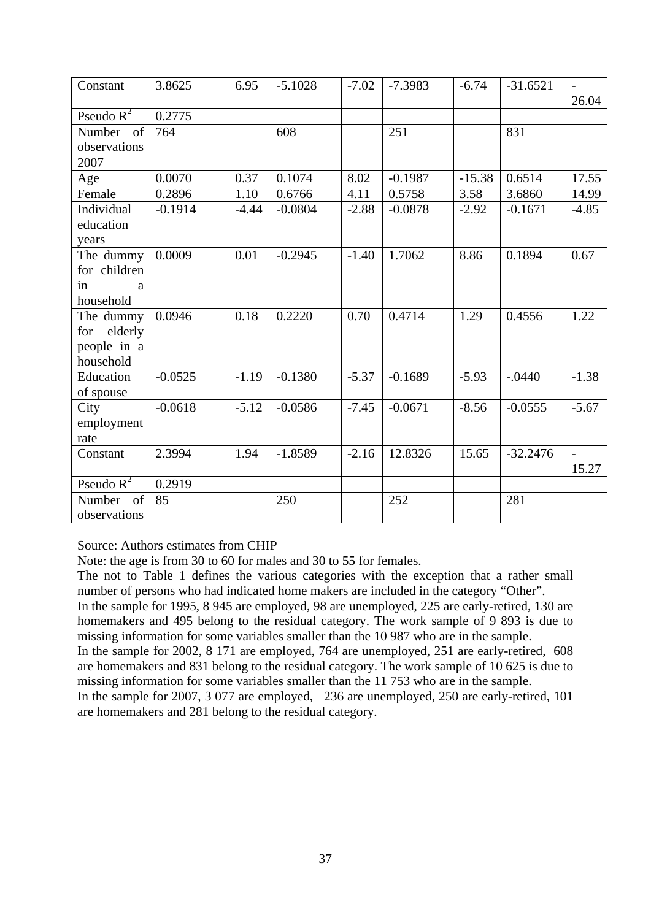| Constant                | 3.8625    | 6.95    | $-5.1028$ | $-7.02$ | $-7.3983$ | $-6.74$  | $-31.6521$ |         |
|-------------------------|-----------|---------|-----------|---------|-----------|----------|------------|---------|
|                         |           |         |           |         |           |          |            | 26.04   |
| Pseudo $\overline{R^2}$ | 0.2775    |         |           |         |           |          |            |         |
| Number of               | 764       |         | 608       |         | 251       |          | 831        |         |
| observations            |           |         |           |         |           |          |            |         |
| 2007                    |           |         |           |         |           |          |            |         |
| Age                     | 0.0070    | 0.37    | 0.1074    | 8.02    | $-0.1987$ | $-15.38$ | 0.6514     | 17.55   |
| Female                  | 0.2896    | 1.10    | 0.6766    | 4.11    | 0.5758    | 3.58     | 3.6860     | 14.99   |
| Individual              | $-0.1914$ | $-4.44$ | $-0.0804$ | $-2.88$ | $-0.0878$ | $-2.92$  | $-0.1671$  | $-4.85$ |
| education               |           |         |           |         |           |          |            |         |
| years                   |           |         |           |         |           |          |            |         |
| The dummy               | 0.0009    | 0.01    | $-0.2945$ | $-1.40$ | 1.7062    | 8.86     | 0.1894     | 0.67    |
| for children            |           |         |           |         |           |          |            |         |
| in<br>a                 |           |         |           |         |           |          |            |         |
| household               |           |         |           |         |           |          |            |         |
| The dummy               | 0.0946    | 0.18    | 0.2220    | 0.70    | 0.4714    | 1.29     | 0.4556     | 1.22    |
| elderly<br>for          |           |         |           |         |           |          |            |         |
| people in a             |           |         |           |         |           |          |            |         |
| household               |           |         |           |         |           |          |            |         |
| Education               | $-0.0525$ | $-1.19$ | $-0.1380$ | $-5.37$ | $-0.1689$ | $-5.93$  | $-.0440$   | $-1.38$ |
| of spouse               |           |         |           |         |           |          |            |         |
| City                    | $-0.0618$ | $-5.12$ | $-0.0586$ | $-7.45$ | $-0.0671$ | $-8.56$  | $-0.0555$  | $-5.67$ |
| employment              |           |         |           |         |           |          |            |         |
| rate                    |           |         |           |         |           |          |            |         |
| Constant                | 2.3994    | 1.94    | $-1.8589$ | $-2.16$ | 12.8326   | 15.65    | $-32.2476$ |         |
|                         |           |         |           |         |           |          |            | 15.27   |
| Pseudo $R^2$            | 0.2919    |         |           |         |           |          |            |         |
| Number of               | 85        |         | 250       |         | 252       |          | 281        |         |
| observations            |           |         |           |         |           |          |            |         |

Source: Authors estimates from CHIP

Note: the age is from 30 to 60 for males and 30 to 55 for females.

The not to Table 1 defines the various categories with the exception that a rather small number of persons who had indicated home makers are included in the category "Other".

In the sample for 1995, 8 945 are employed, 98 are unemployed, 225 are early-retired, 130 are homemakers and 495 belong to the residual category. The work sample of 9 893 is due to missing information for some variables smaller than the 10 987 who are in the sample.

In the sample for 2002, 8 171 are employed, 764 are unemployed, 251 are early-retired, 608 are homemakers and 831 belong to the residual category. The work sample of 10 625 is due to missing information for some variables smaller than the 11 753 who are in the sample.

In the sample for 2007, 3 077 are employed, 236 are unemployed, 250 are early-retired, 101 are homemakers and 281 belong to the residual category.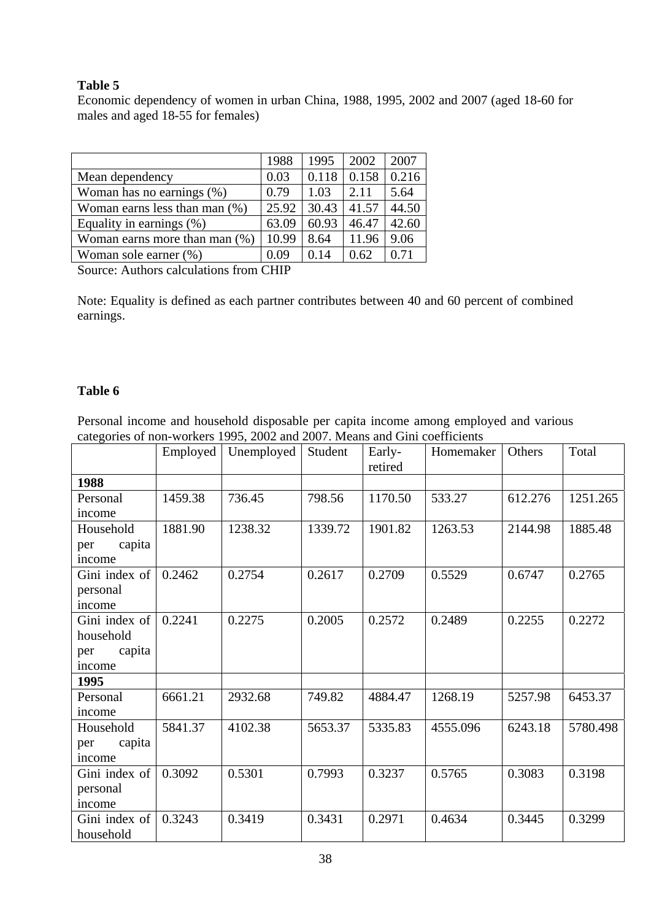Economic dependency of women in urban China, 1988, 1995, 2002 and 2007 (aged 18-60 for males and aged 18-55 for females)

|                               | 1988  | 1995  | 2002  | 2007  |
|-------------------------------|-------|-------|-------|-------|
| Mean dependency               | 0.03  | 0.118 | 0.158 | 0.216 |
| Woman has no earnings (%)     | 0.79  | 1.03  | 2.11  | 5.64  |
| Woman earns less than man (%) | 25.92 | 30.43 | 41.57 | 44.50 |
| Equality in earnings $(\%)$   | 63.09 | 60.93 | 46.47 | 42.60 |
| Woman earns more than man (%) | 10.99 | 8.64  | 11.96 | 9.06  |
| Woman sole earner (%)         | 0.09  | 0.14  | 0.62  | 0.71  |

Source: Authors calculations from CHIP

Note: Equality is defined as each partner contributes between 40 and 60 percent of combined earnings.

## **Table 6**

Personal income and household disposable per capita income among employed and various categories of non-workers 1995, 2002 and 2007. Means and Gini coefficients

|                                                       | Employed | Unemployed | Student | Early-<br>retired | Homemaker | Others  | Total    |
|-------------------------------------------------------|----------|------------|---------|-------------------|-----------|---------|----------|
| 1988                                                  |          |            |         |                   |           |         |          |
| Personal                                              | 1459.38  | 736.45     | 798.56  | 1170.50           | 533.27    | 612.276 | 1251.265 |
| income                                                |          |            |         |                   |           |         |          |
| Household                                             | 1881.90  | 1238.32    | 1339.72 | 1901.82           | 1263.53   | 2144.98 | 1885.48  |
| capita<br>per<br>income                               |          |            |         |                   |           |         |          |
| Gini index of<br>personal<br>income                   | 0.2462   | 0.2754     | 0.2617  | 0.2709            | 0.5529    | 0.6747  | 0.2765   |
| Gini index of<br>household<br>capita<br>per<br>income | 0.2241   | 0.2275     | 0.2005  | 0.2572            | 0.2489    | 0.2255  | 0.2272   |
| 1995                                                  |          |            |         |                   |           |         |          |
| Personal<br>income                                    | 6661.21  | 2932.68    | 749.82  | 4884.47           | 1268.19   | 5257.98 | 6453.37  |
| Household<br>capita<br>per<br>income                  | 5841.37  | 4102.38    | 5653.37 | 5335.83           | 4555.096  | 6243.18 | 5780.498 |
| Gini index of<br>personal<br>income                   | 0.3092   | 0.5301     | 0.7993  | 0.3237            | 0.5765    | 0.3083  | 0.3198   |
| Gini index of<br>household                            | 0.3243   | 0.3419     | 0.3431  | 0.2971            | 0.4634    | 0.3445  | 0.3299   |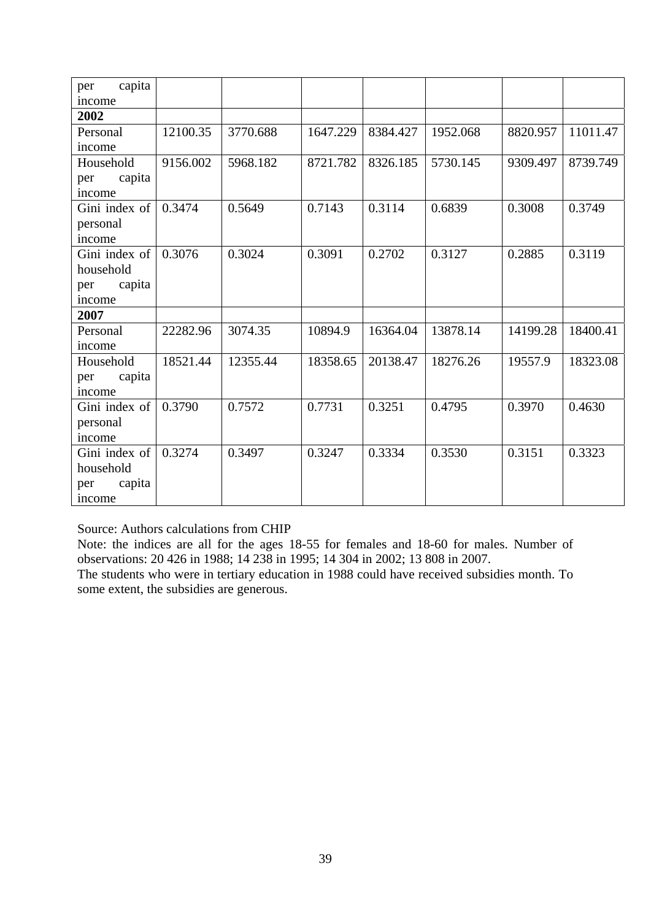| capita<br>per<br>income                               |          |          |          |          |          |          |          |
|-------------------------------------------------------|----------|----------|----------|----------|----------|----------|----------|
| 2002                                                  |          |          |          |          |          |          |          |
| Personal<br>income                                    | 12100.35 | 3770.688 | 1647.229 | 8384.427 | 1952.068 | 8820.957 | 11011.47 |
| Household<br>capita<br>per<br>income                  | 9156.002 | 5968.182 | 8721.782 | 8326.185 | 5730.145 | 9309.497 | 8739.749 |
| Gini index of<br>personal<br>income                   | 0.3474   | 0.5649   | 0.7143   | 0.3114   | 0.6839   | 0.3008   | 0.3749   |
| Gini index of<br>household<br>capita<br>per<br>income | 0.3076   | 0.3024   | 0.3091   | 0.2702   | 0.3127   | 0.2885   | 0.3119   |
| 2007                                                  |          |          |          |          |          |          |          |
| Personal<br>income                                    | 22282.96 | 3074.35  | 10894.9  | 16364.04 | 13878.14 | 14199.28 | 18400.41 |
| Household<br>capita<br>per<br>income                  | 18521.44 | 12355.44 | 18358.65 | 20138.47 | 18276.26 | 19557.9  | 18323.08 |
| Gini index of<br>personal<br>income                   | 0.3790   | 0.7572   | 0.7731   | 0.3251   | 0.4795   | 0.3970   | 0.4630   |
| Gini index of<br>household<br>capita<br>per<br>income | 0.3274   | 0.3497   | 0.3247   | 0.3334   | 0.3530   | 0.3151   | 0.3323   |

Source: Authors calculations from CHIP

Note: the indices are all for the ages 18-55 for females and 18-60 for males. Number of observations: 20 426 in 1988; 14 238 in 1995; 14 304 in 2002; 13 808 in 2007.

The students who were in tertiary education in 1988 could have received subsidies month. To some extent, the subsidies are generous.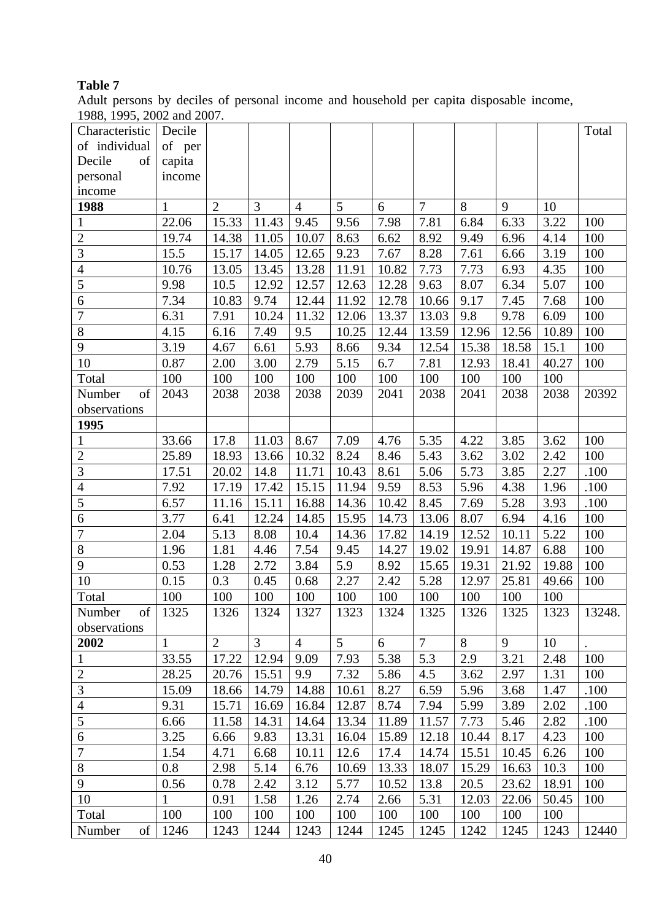Adult persons by deciles of personal income and household per capita disposable income, 1988, 1995, 2002 and 2007.

| Characteristic | Decile                      |                |                |                |                 |       |                |       |       |       | Total  |
|----------------|-----------------------------|----------------|----------------|----------------|-----------------|-------|----------------|-------|-------|-------|--------|
| of individual  | of per                      |                |                |                |                 |       |                |       |       |       |        |
| Decile<br>of   | capita                      |                |                |                |                 |       |                |       |       |       |        |
| personal       | income                      |                |                |                |                 |       |                |       |       |       |        |
| income         |                             |                |                |                |                 |       |                |       |       |       |        |
| 1988           | $\mathbf{1}$                | $\overline{2}$ | 3              | $\overline{4}$ | 5               | 6     | $\overline{7}$ | 8     | 9     | 10    |        |
| $\mathbf{1}$   | 22.06                       | 15.33          | 11.43          | 9.45           | 9.56            | 7.98  | 7.81           | 6.84  | 6.33  | 3.22  | 100    |
| $\mathbf{2}$   | 19.74                       | 14.38          | 11.05          | 10.07          | 8.63            | 6.62  | 8.92           | 9.49  | 6.96  | 4.14  | 100    |
| $\overline{3}$ | 15.5                        | 15.17          | 14.05          | 12.65          | 9.23            | 7.67  | 8.28           | 7.61  | 6.66  | 3.19  | 100    |
| $\overline{4}$ | 10.76                       | 13.05          | 13.45          | 13.28          | 11.91           | 10.82 | 7.73           | 7.73  | 6.93  | 4.35  | 100    |
| 5              | 9.98                        | 10.5           | 12.92          | 12.57          | 12.63           | 12.28 | 9.63           | 8.07  | 6.34  | 5.07  | 100    |
| $\overline{6}$ | 7.34                        | 10.83          | 9.74           | 12.44          | 11.92           | 12.78 | 10.66          | 9.17  | 7.45  | 7.68  | 100    |
| $\overline{7}$ | 6.31                        | 7.91           | 10.24          | 11.32          | 12.06           | 13.37 | 13.03          | 9.8   | 9.78  | 6.09  | 100    |
| $8\,$          | 4.15                        | 6.16           | 7.49           | 9.5            | 10.25           | 12.44 | 13.59          | 12.96 | 12.56 | 10.89 | 100    |
| $\overline{9}$ | 3.19                        | 4.67           | 6.61           | 5.93           | 8.66            | 9.34  | 12.54          | 15.38 | 18.58 | 15.1  | 100    |
| 10             | 0.87                        | 2.00           | 3.00           | 2.79           | 5.15            | 6.7   | 7.81           | 12.93 | 18.41 | 40.27 | 100    |
| Total          | 100                         | 100            | 100            | 100            | 100             | 100   | 100            | 100   | 100   | 100   |        |
| of<br>Number   | 2043                        | 2038           | 2038           | 2038           | 2039            | 2041  | 2038           | 2041  | 2038  | 2038  | 20392  |
| observations   |                             |                |                |                |                 |       |                |       |       |       |        |
| 1995           |                             |                |                |                |                 |       |                |       |       |       |        |
| $\mathbf{1}$   | 33.66                       | 17.8           | 11.03          | 8.67           | 7.09            | 4.76  | 5.35           | 4.22  | 3.85  | 3.62  | 100    |
| $\overline{2}$ | 25.89                       | 18.93          | 13.66          | 10.32          | 8.24            | 8.46  | 5.43           | 3.62  | 3.02  | 2.42  | 100    |
| $\overline{3}$ | 17.51                       | 20.02          | 14.8           | 11.71          | 10.43           | 8.61  | 5.06           | 5.73  | 3.85  | 2.27  | .100   |
| $\overline{4}$ | 7.92                        | 17.19          | 17.42          | 15.15          | 11.94           | 9.59  | 8.53           | 5.96  | 4.38  | 1.96  | .100   |
| 5              | 6.57                        | 11.16          | 15.11          | 16.88          | 14.36           | 10.42 | 8.45           | 7.69  | 5.28  | 3.93  | .100   |
| $\overline{6}$ | 3.77                        | 6.41           | 12.24          | 14.85          | 15.95           | 14.73 | 13.06          | 8.07  | 6.94  | 4.16  | 100    |
| $\overline{7}$ | 2.04                        | 5.13           | 8.08           | 10.4           | 14.36           | 17.82 | 14.19          | 12.52 | 10.11 | 5.22  | 100    |
| $8\,$          | 1.96                        | 1.81           | 4.46           | 7.54           | 9.45            | 14.27 | 19.02          | 19.91 | 14.87 | 6.88  | 100    |
| 9              | 0.53                        | 1.28           | 2.72           | 3.84           | 5.9             | 8.92  | 15.65          | 19.31 | 21.92 | 19.88 | 100    |
| 10             | 0.15                        | 0.3            | 0.45           | 0.68           | 2.27            | 2.42  | 5.28           | 12.97 | 25.81 | 49.66 | 100    |
| Total          | 100                         | 100            | 100            | 100            | 100             | 100   | 100            | 100   | 100   | 100   |        |
| Number         | $\overline{\text{of}}$ 1325 | 1326           | 1324           | 1327           | 1323            | 1324  | 1325           | 1326  | 1325  | 1323  | 13248. |
| observations   |                             |                |                |                |                 |       |                |       |       |       |        |
| 2002           | $\mathbf{1}$                | $\overline{2}$ | $\overline{3}$ | $\overline{4}$ | $5\overline{)}$ | 6     | $\overline{7}$ | 8     | 9     | 10    |        |
| $\mathbf{1}$   | 33.55                       | 17.22          | 12.94          | 9.09           | 7.93            | 5.38  | 5.3            | 2.9   | 3.21  | 2.48  | 100    |
| $\mathbf{2}$   | 28.25                       | 20.76          | 15.51          | 9.9            | 7.32            | 5.86  | 4.5            | 3.62  | 2.97  | 1.31  | 100    |
| 3              | 15.09                       | 18.66          | 14.79          | 14.88          | 10.61           | 8.27  | 6.59           | 5.96  | 3.68  | 1.47  | .100   |
| $\overline{4}$ | 9.31                        | 15.71          | 16.69          | 16.84          | 12.87           | 8.74  | 7.94           | 5.99  | 3.89  | 2.02  | .100   |
| 5              | 6.66                        | 11.58          | 14.31          | 14.64          | 13.34           | 11.89 | 11.57          | 7.73  | 5.46  | 2.82  | .100   |
| 6              | 3.25                        | 6.66           | 9.83           | 13.31          | 16.04           | 15.89 | 12.18          | 10.44 | 8.17  | 4.23  | 100    |
| $\overline{7}$ | 1.54                        | 4.71           | 6.68           | 10.11          | 12.6            | 17.4  | 14.74          | 15.51 | 10.45 | 6.26  | 100    |
| 8              | 0.8                         | 2.98           | 5.14           | 6.76           | 10.69           | 13.33 | 18.07          | 15.29 | 16.63 | 10.3  | 100    |
| 9              | 0.56                        | 0.78           | 2.42           | 3.12           | 5.77            | 10.52 | 13.8           | 20.5  | 23.62 | 18.91 | 100    |
| 10             | 1                           | 0.91           | 1.58           | 1.26           | 2.74            | 2.66  | 5.31           | 12.03 | 22.06 | 50.45 | 100    |
| Total          | 100                         | 100            | 100            | 100            | 100             | 100   | 100            | 100   | 100   | 100   |        |
| Number<br>of   | 1246                        | 1243           | 1244           | 1243           | 1244            | 1245  | 1245           | 1242  | 1245  | 1243  | 12440  |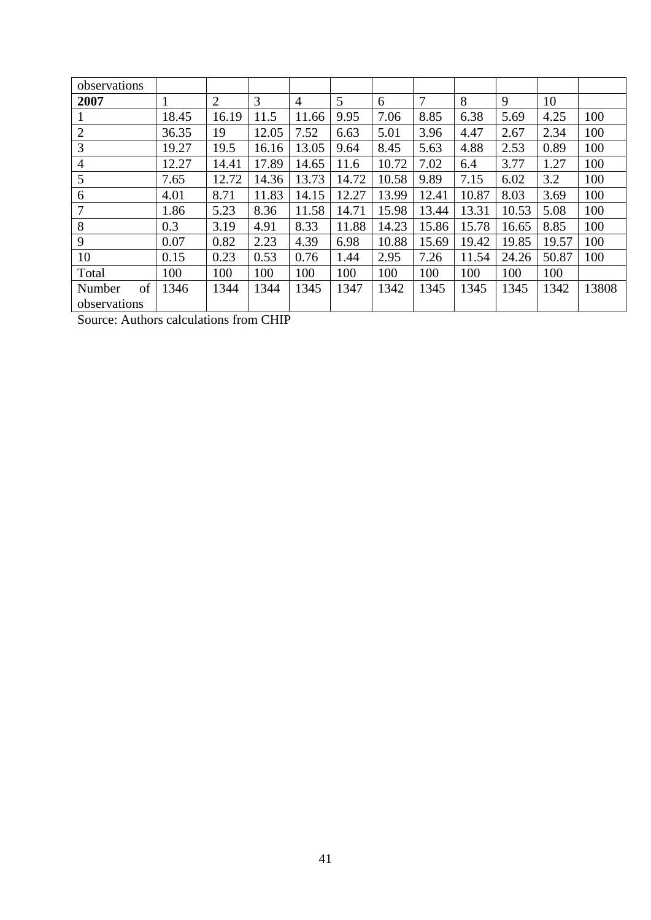| observations   |              |                |       |                |       |       |       |       |       |       |       |
|----------------|--------------|----------------|-------|----------------|-------|-------|-------|-------|-------|-------|-------|
| 2007           | $\mathbf{1}$ | $\overline{2}$ | 3     | $\overline{4}$ | 5     | 6     | 7     | 8     | 9     | 10    |       |
|                | 18.45        | 16.19          | 11.5  | 11.66          | 9.95  | 7.06  | 8.85  | 6.38  | 5.69  | 4.25  | 100   |
| $\overline{2}$ | 36.35        | 19             | 12.05 | 7.52           | 6.63  | 5.01  | 3.96  | 4.47  | 2.67  | 2.34  | 100   |
| 3              | 19.27        | 19.5           | 16.16 | 13.05          | 9.64  | 8.45  | 5.63  | 4.88  | 2.53  | 0.89  | 100   |
| $\overline{4}$ | 12.27        | 14.41          | 17.89 | 14.65          | 11.6  | 10.72 | 7.02  | 6.4   | 3.77  | 1.27  | 100   |
| 5              | 7.65         | 12.72          | 14.36 | 13.73          | 14.72 | 10.58 | 9.89  | 7.15  | 6.02  | 3.2   | 100   |
| 6              | 4.01         | 8.71           | 11.83 | 14.15          | 12.27 | 13.99 | 12.41 | 10.87 | 8.03  | 3.69  | 100   |
| 7              | 1.86         | 5.23           | 8.36  | 11.58          | 14.71 | 15.98 | 13.44 | 13.31 | 10.53 | 5.08  | 100   |
| 8              | 0.3          | 3.19           | 4.91  | 8.33           | 11.88 | 14.23 | 15.86 | 15.78 | 16.65 | 8.85  | 100   |
| 9              | 0.07         | 0.82           | 2.23  | 4.39           | 6.98  | 10.88 | 15.69 | 19.42 | 19.85 | 19.57 | 100   |
| 10             | 0.15         | 0.23           | 0.53  | 0.76           | 1.44  | 2.95  | 7.26  | 11.54 | 24.26 | 50.87 | 100   |
| Total          | 100          | 100            | 100   | 100            | 100   | 100   | 100   | 100   | 100   | 100   |       |
| of<br>Number   | 1346         | 1344           | 1344  | 1345           | 1347  | 1342  | 1345  | 1345  | 1345  | 1342  | 13808 |
| observations   |              |                |       |                |       |       |       |       |       |       |       |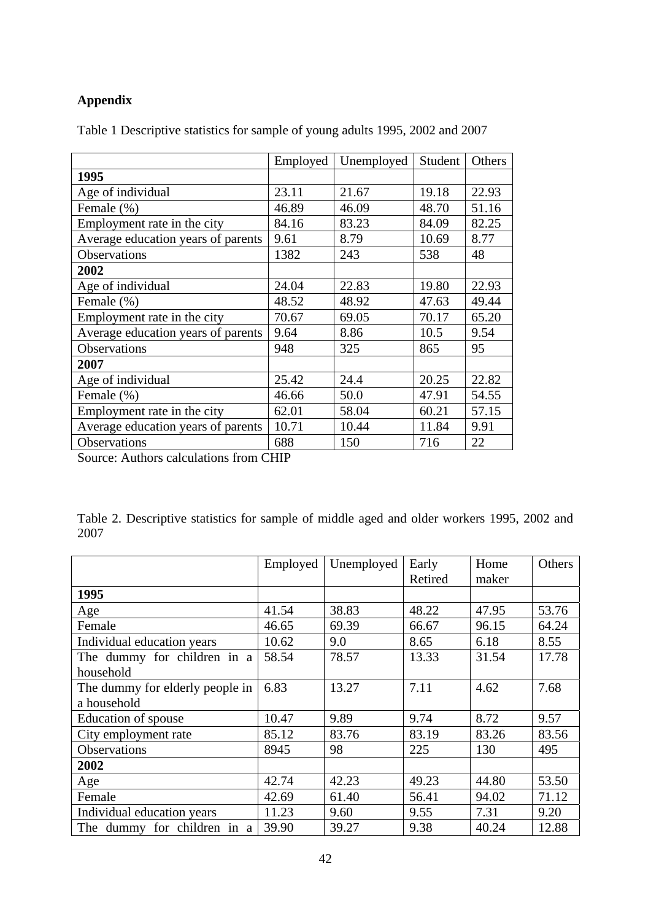# **Appendix**

|                                    | Employed | Unemployed | Student | Others |
|------------------------------------|----------|------------|---------|--------|
| 1995                               |          |            |         |        |
| Age of individual                  | 23.11    | 21.67      | 19.18   | 22.93  |
| Female (%)                         | 46.89    | 46.09      | 48.70   | 51.16  |
| Employment rate in the city        | 84.16    | 83.23      | 84.09   | 82.25  |
| Average education years of parents | 9.61     | 8.79       | 10.69   | 8.77   |
| <b>Observations</b>                | 1382     | 243        | 538     | 48     |
| 2002                               |          |            |         |        |
| Age of individual                  | 24.04    | 22.83      | 19.80   | 22.93  |
| Female (%)                         | 48.52    | 48.92      | 47.63   | 49.44  |
| Employment rate in the city        | 70.67    | 69.05      | 70.17   | 65.20  |
| Average education years of parents | 9.64     | 8.86       | 10.5    | 9.54   |
| Observations                       | 948      | 325        | 865     | 95     |
| 2007                               |          |            |         |        |
| Age of individual                  | 25.42    | 24.4       | 20.25   | 22.82  |
| Female (%)                         | 46.66    | 50.0       | 47.91   | 54.55  |
| Employment rate in the city        | 62.01    | 58.04      | 60.21   | 57.15  |
| Average education years of parents | 10.71    | 10.44      | 11.84   | 9.91   |
| Observations                       | 688      | 150        | 716     | 22     |

Table 1 Descriptive statistics for sample of young adults 1995, 2002 and 2007

|      | Table 2. Descriptive statistics for sample of middle aged and older workers 1995, 2002 and |  |  |  |  |  |  |
|------|--------------------------------------------------------------------------------------------|--|--|--|--|--|--|
| 2007 |                                                                                            |  |  |  |  |  |  |

|                                 | Employed | Unemployed | Early   | Home  | Others |
|---------------------------------|----------|------------|---------|-------|--------|
|                                 |          |            | Retired | maker |        |
| 1995                            |          |            |         |       |        |
| Age                             | 41.54    | 38.83      | 48.22   | 47.95 | 53.76  |
| Female                          | 46.65    | 69.39      | 66.67   | 96.15 | 64.24  |
| Individual education years      | 10.62    | 9.0        | 8.65    | 6.18  | 8.55   |
| The dummy for children in a     | 58.54    | 78.57      | 13.33   | 31.54 | 17.78  |
| household                       |          |            |         |       |        |
| The dummy for elderly people in | 6.83     | 13.27      | 7.11    | 4.62  | 7.68   |
| a household                     |          |            |         |       |        |
| Education of spouse             | 10.47    | 9.89       | 9.74    | 8.72  | 9.57   |
| City employment rate            | 85.12    | 83.76      | 83.19   | 83.26 | 83.56  |
| <b>Observations</b>             | 8945     | 98         | 225     | 130   | 495    |
| 2002                            |          |            |         |       |        |
| Age                             | 42.74    | 42.23      | 49.23   | 44.80 | 53.50  |
| Female                          | 42.69    | 61.40      | 56.41   | 94.02 | 71.12  |
| Individual education years      | 11.23    | 9.60       | 9.55    | 7.31  | 9.20   |
| The dummy for children in a     | 39.90    | 39.27      | 9.38    | 40.24 | 12.88  |